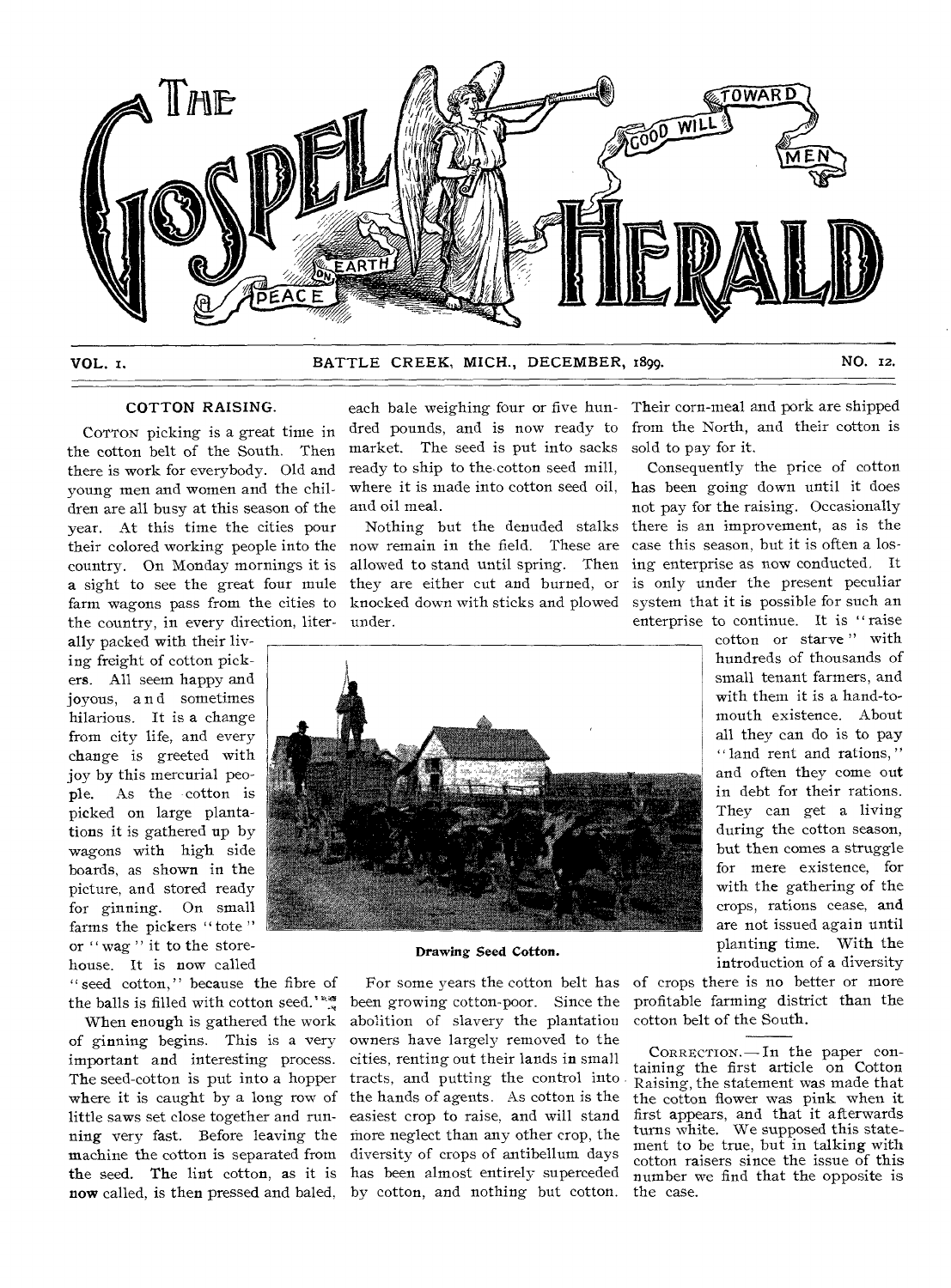

#### VOL. I. BATTLE CREEK, MICH., DECEMBER, 1899. NO. 12.

#### COTTON RAISING.

COTTON picking is a great time in the cotton belt of the South. Then there is work for everybody. Old and young men and women and the children are all busy at this season of the year. At this time the cities pour country. On Monday mornings it is the country, in every direction, liter-under.

ally packed with their living freight of cotton pickers. All seem happy and joyous, and sometimes hilarious. It is a change from city life, and every change is greeted with joy by this mercurial people. As the cotton is picked on large plantations it is gathered up by wagons with high side boards, as shown in the picture, and stored ready for ginning. On small farms the pickers "tote" or " wag" it to the storehouse. It is now called

" seed cotton," because the fibre of the balls is filled with cotton seed.'"

When enough is gathered the work of ginning begins. This is a very important and interesting process. The seed-cotton is put into a hopper where it is caught by a long row of little saws set close together and runnow called, is then pressed and baled, by cotton, and nothing but cotton.

dred pounds, and is now ready to market. The seed is put into sacks ready to ship to the cotton seed mill, and oil meal.

their colored working people into the now remain in the field. These are a sight to see the great four mule they are either cut and burned, or farm wagons pass from the cities to knocked down with sticks and plowed Nothing but the denuded stalks allowed to stand until spring. Then



#### Drawing Seed Cotton.

ning very fast. Before leaving the more neglect than any other crop, the machine the cotton is separated from diversity of crops of antibellum days the seed. The lint cotton, as it is has been almost entirely superceded For some years the cotton belt has been growing cotton-poor. Since the abolition of slavery the plantation owners have largely removed to the cities, renting out their lands in small tracts, and putting the control into the hands of agents. As cotton is the easiest crop to raise, and will stand

each bale weighing four or five hun-Their corn-meal and pork are shipped from the North, and their cotton is sold to pay for it.

where it is made into cotton seed oil, has been going down until it does Consequently the price of cotton not pay for the raising. Occasionally there is an improvement, as is the case this season, but it is often a losing enterprise as now conducted. It is only under the present peculiar system that it is possible for such an enterprise to continue. It is "raise

> cotton or starve" with hundreds of thousands of small tenant farmers, and with them it is a hand-tomouth existence. About all they can do is to pay " land rent and rations," and often they come out in debt for their rations. They can get a living during the cotton season, but then comes a struggle for mere existence, for with the gathering of the crops, rations cease, and are not issued again until planting time. With the introduction of a diversity

of crops there is no better or more profitable farming district than the cotton belt of the South.

CORRECTION.—In the paper containing the first article on Cotton Raising, the statement was made that the cotton flower was pink when it first appears, and that it afterwards turns white. We supposed this statement to be true, but in talking with cotton raisers since the issue of this number we find that the opposite is the case.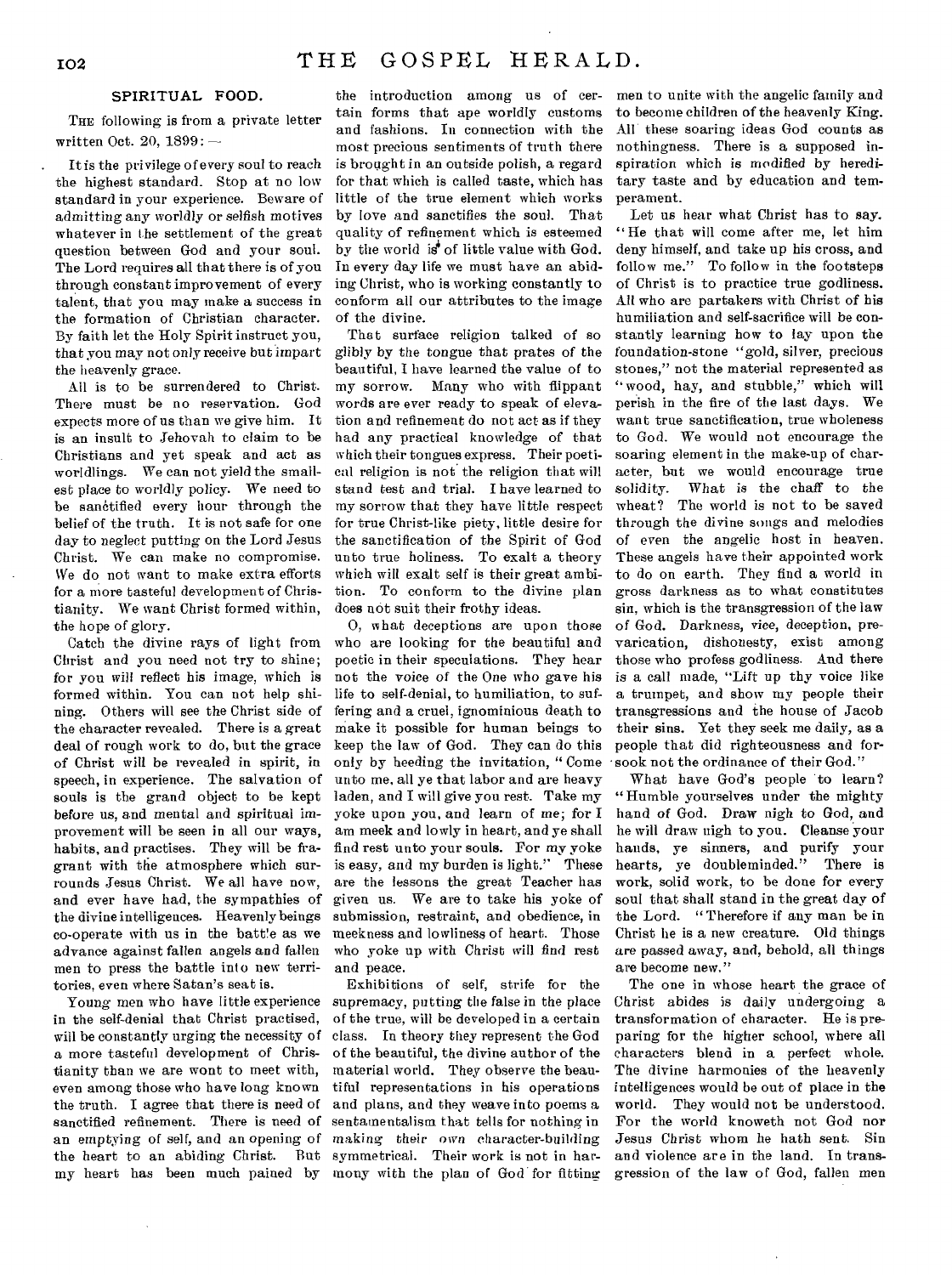#### SPIRITUAL FOOD.

THE following is from a private letter written Oct. 20, 1899: —

It is the privilege of every soul to reach the highest standard. Stop at no low standard in your experience. Beware of admitting any worldly or selfish motives whatever in the settlement of the great question between God and your soul. The Lord requires all that there is of you through constant improvement of every talent, that you may make a success in the formation of Christian character. By faith let the Holy Spirit instruct you, that you may not only receive but impart the heavenly grace.

All is to be surrendered to Christ. There must be no reservation. God expects more of us than we give him. It is an insult to Jehovah to claim to be Christians and yet speak and act as worldlings. We can not yield the smallest place to worldly policy. We need to be sanctified every hour through the belief of the truth. It is not safe for one day to neglect putting on the Lord Jesus Christ. We can make no compromise. We do not want to make extra efforts for a more tasteful development of Christianity. We want Christ formed within, the hope of glory.

Catch the divine rays of light from Christ and you need not try to shine; *for you* will reflect his *image,* which is formed within. You can not help shining. Others will see the Christ side of the character revealed. There is a great deal of rough work to do, but the grace of Christ will be revealed in spirit, in speech, in experience. The salvation of souls is the grand object to be kept before us, and mental and spiritual improvement will be seen in all our ways, habits, and practises. They will be fragrant with the atmosphere which surrounds Jesus Christ. We all have now, and ever have had, the sympathies of the divine intelligences. Heavenly beings co-operate with us in the batt!e as we advance against fallen angels and fallen men to press the battle into new territories, even where Satan's seat is.

Young men who have little experience in the self-denial that Christ practised, will be constantly urging the necessity of a more tasteful development of Christianity than we are wont to meet with, even among those who have long known the truth. I agree that there is need of sanctified refinement. There is need of sentamentalism that tells for nothing in the heart to an abiding Christ. But symmetrical. Their work is not in har-

 $\bar{z}$ 

the introduction among us of certain forms that ape worldly customs and fashions. In connection with the most precious sentiments of truth there is brought in an outside polish, a regard for that which is called taste, which has little of the true element which works by love and sanctifies the soul. That quality of refinement which is esteemed by the world  $i\vec{\sigma}$  of little value with God. In every day life we must have an abiding Christ, who is working constantly to conform all our attributes to the image of the divine.

That surface religion talked of so glibly by the *tongue* that prates of the beautiful, I have learned the value of to my sorrow. Many who with flippant words are ever ready to speak of elevation and refinement do not act as if they had any practical knowledge of that which their tongues express. Their poetical religion is not the religion that will stand test and trial. I have learned to my sorrow that they have little respect for true Christ-like piety, little desire for the sanctification of the Spirit of God unto true holiness. To exalt a theory which will exalt self is their great ambition. To conform to the divine plan does not suit their frothy ideas.

0, what deceptions are upon those who are looking for the beautiful and poetic in their speculations. They hear not the voice of the One who gave his life to self-denial, to humiliation, to suffering and a cruel, ignominious death to make it possible for human beings to keep the law of God. They can do this only by heeding the invitation, " Come unto me, all ye that labor and are heavy laden, and I will give you rest. Take my yoke upon you, and learn of me; for I am meek and lowly in heart, and ye shall find rest unto your souls. For my yoke is easy, and my burden is light." These are the lessons the great Teacher has given us. We are to take his yoke of submission, restraint, and obedience, in meekness and lowliness of heart. Those who yoke up with Christ will find rest and peace.

an emptying of self, and an opening of making their own character-building my heart has been much pained by mony with the plan of God for fitting Exhibitions of self, strife for the supremacy, putting the false in the place of the true, will be developed in a certain class. In theory they represent the God of the beautiful, the divine author of the material world. They observe the beautiful representations in his operations and plans, and they weave into poems a

men to unite with the angelic family and to become children of the heavenly King. All these soaring ideas God counts as nothingness. There is a supposed inspiration which is modified by hereditary taste and by education and temperament.

Let us hear what Christ has to say. "He that will come after me, let him deny himself, and take up his cross, and follow me." To follow in the footsteps of Christ is to practice true godliness. All who are partakers with Christ of *his*  humiliation and self-sacrifice will be constantly learning how to lay upon the foundation-stone "gold, silver, precious stones," not the material represented as " wood, hay, and stubble," which will perish in the fire of the last days. We want true sanctification, true wholeness to God. We would not encourage the soaring element in the make-up of character, but we would encourage true solidity. What is the chaff to the wheat? The world is not to be saved through the divine songs and melodies of even the angelic host in heaven. These angels have their appointed work to do on earth. They find a world in gross darkness as to what constitutes sin, which is the transgression of the law of God. Darkness, vice, deception, prevarication, dishonesty, exist among those who profess godliness. And there is a call made, "Lift up thy voice like a trumpet, and show my people their transgressions and the house of Jacob their sins. Yet they seek me daily, as a people that did righteousness and forsook not the ordinance of their God."

What have God's people to learn? "Humble yourselves under the mighty hand of God. Draw nigh to God, and he will draw nigh to you. Cleanse your hands, ye sinners, and purify your<br>hearts, ve doubleminded." There is hearts, ye doubleminded." work, solid work, to be done for every soul that shall stand in the great day of the Lord. " Therefore if any man be in Christ he is a new creature. Old things are passed away, and, behold, all things are become new."

The one in whose heart the grace of Christ abides is daily undergoing a transformation of character. He is preparing for the higher school, where all characters blend in a perfect whole. The divine harmonies of the heavenly intelligences would be out of place in the world. They would not be understood. For the world knoweth not God nor Jesus Christ whom he bath sent. Sin and violence are in the land. In transgression of the law of God, fallen men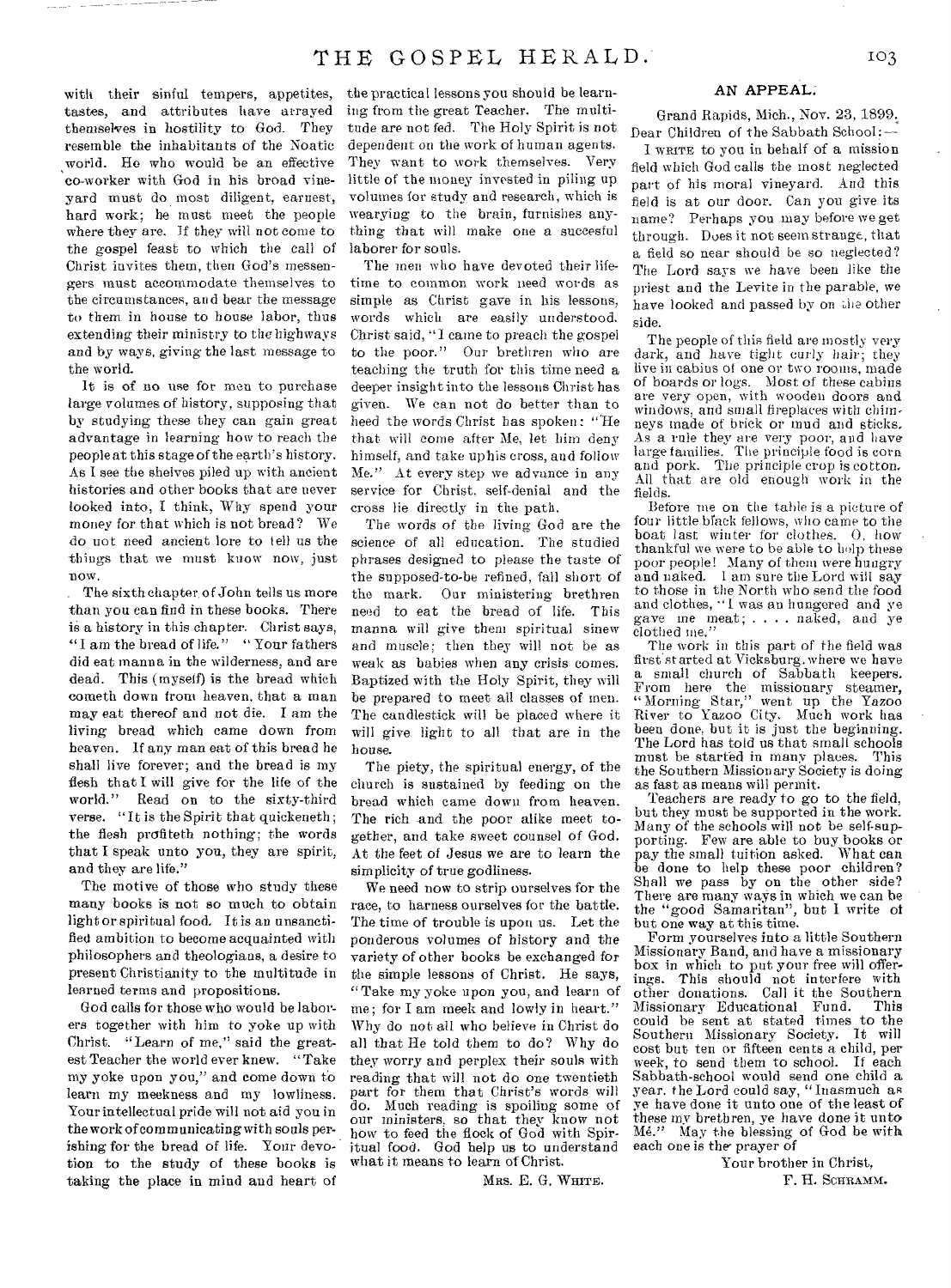with their sinful tempers, appetites, tastes, and attributes have arrayed themselves in hostility to God. They resemble the inhabitants of the Noatic world. He who would be an effective co-worker with God in his broad vineyard must do most diligent, earnest, hard work; he must meet the people where they are. If they will not come to the gospel feast to which the call of Christ invites them, then God's messengers must accommodate themselves to the circumstances, and bear the message to them in house to house labor, thus extending their ministry to the highways and by ways, giving the last message to the world.

It is of no use for men to purchase large volumes of history, supposing that by studying these they can gain great advantage in learning how to reach the people at this stage of the earth's history. As I see the shelves piled up with ancient histories and other books that are never looked into, I think, Why spend your money for that which is not bread? We do not need ancient lore to tell us the things that we must know now, just now.

The sixth chapter, of John tells us more than you can find in these books. There is a history in this chapter. Christ says, "I am the bread of life." "Your fathers did eat manna in the wilderness, and are dead. This (myself) is the bread which cometh down from heaven, that a man may eat thereof and not die. I am the living bread which came down from heaven. If any man eat of this bread he shall live forever; and the bread is my flesh that I will give for the life of the world." Read on to the sixty-third Read on to the sixty-third verse. "It is the Spirit that quickeneth; the flesh profiteth nothing; the words that I speak unto you, they are spirit, and they are life."

The motive of those who study these many books is not so much to obtain light or spiritual food. It is an unsanctified ambition to become acquainted with philosophers and theologians, a desire to present Christianity to the multitude in learned terms and propositions.

God calls for those who would be laborers together with him to yoke up with Christ. "Learn of me," said the greatest Teacher the world ever knew. "Take my yoke upon you," and come down to learn my meekness and my lowliness. Your intellectual pride will not aid you in the work of communicating with souls perishing for the bread of life. Your devotion to the study of these books is taking the place in mind and heart of

the practical lessons you should be learning from the great Teacher. The multitude are not fed. The Holy Spirit is not dependent on the work of human agents. They want to work themselves. Very little of the money invested in piling up volumes for study and research, which is wearying to the brain, furnishes anything that will make one a succesful laborer for souls.

The men who have devoted their lifetime to common work need words as simple as Christ gave in his lessons, words which are easily understood. Christ said, "I came to preach the gospel to the poor." Our brethren who are teaching the truth for this time need a deeper insight into the lessons Christ has given. We can not do better than to heed the words Christ has spoken: "He that will come after Me, let him deny himself, and take uphis cross, and follow Me." At every step we advance in any service for Christ, self-denial and the cross lie directly in the path.

The words of the living God are the science of all education. The studied phrases designed to please the taste of the supposed-to-be refined, fall short of<br>the mark. Our ministering brethren Our ministering brethren need to eat the bread of life. This manna will give them spiritual sinew and muscle; then they will not be as weak as babies when any crisis comes. Baptized with the Holy Spirit, they will be prepared to meet all classes of men. The candlestick will be placed where it will give light to all that are in the house.

The piety, the spiritual energy, of the church is sustained by feeding on the bread which came down from heaven. The rich and the poor alike meet together, and take sweet counsel of God. At the feet of Jesus we are to learn the simplicity of true godliness.

We need now to strip ourselves for the race, to harness ourselves for the battle. The time of trouble is upon us. Let the ponderous volumes of history and the variety of other books be exchanged for the simple lessons of Christ. He says, "Take my yoke upon you, and learn of me; for I am meek and lowly in heart." Why do not all who believe in Christ do all that He told them to do? Why do they worry and perplex their souls with reading that will not do one twentieth part for them that Christ's words will do. Much reading is spoiling some of our ministers, so that they know not how to feed the flock of God with Spiritual food. God help us to understand what it means to learn of Christ.

MRS. E. G. WHITE.

#### AN APPEAL

Grand Rapids, Mich., Nov. 23, 1899. Dear Children of the Sabbath School:-

I WRITE to you in behalf of a mission field which God calls the most neglected part of his moral vineyard. And this field is at our door. Can you give its name? Perhaps you may before we get through. Does it not seem strange, that a field so near should be so neglected? The Lord says we have been like the priest and the Levite in the parable, we have looked and passed by on the other side.

The people of this field are mostly very dark, and have tight curly hair; they live in cabins of one or two rooms, made of boards or logs. Most of these cabins are very open, with wooden doors and windows, and small fireplaces with chimneys made of brick or mud and sticks. As a rule they are very poor, and have large families. The principle food is corn and pork. The principle crop is cotton. All that are old enough work in the fields.

Before me on the table is a picture of four little bfack fellows, who came to the boat last winter for clothes. 0, how thankful we were to be able to help these poor people! Many of them were hungry and naked. I am sure the Lord will say to those in the North who send the food and clothes, "I was an hungered and ye gave me meat; . . . . naked, and ye clothed me."

The work in this part of the field was first started at Vicksburg, where we have a small church of Sabbath keepers. From here the missionary steamer, "Morning Star," went up the Yazoo River to Yazoo City. Much work has been done, but it is just the beginning. The Lord has told us that small schools<br>must be started in many places. This must be started in many places. the Southern Missionary Society is doing as fast as means will permit.

Teachers are ready to go to the field, but they must be supported in the work. Many of the schools will not be self-supporting. Few are able to buy books or pay the small tuition asked. What can be done to help these poor children? Shall we pass by on the other side? There are many ways in which we can be the "good Samaritan", but I write of but one way at this time.

Form yourselves into a little Southern Missionary Band, and have a missionary box in which to put your free will offerings. This should not interfere with other donations. Call it the Southern Missionary Educational Fund. This could he sent at stated times to the Southern Missionary Society. It will cost but ten or fifteen cents a child, per week, to send them to school. If each Sabbath-school would send one child a year. the Lord could say, "Inasmuch as ye have done it unto one of the least of these my brethren, ye have done it unto Me." May the blessing of God be with each one is the prayer of

> Your brother in Christ, F. H. SCHRAMM.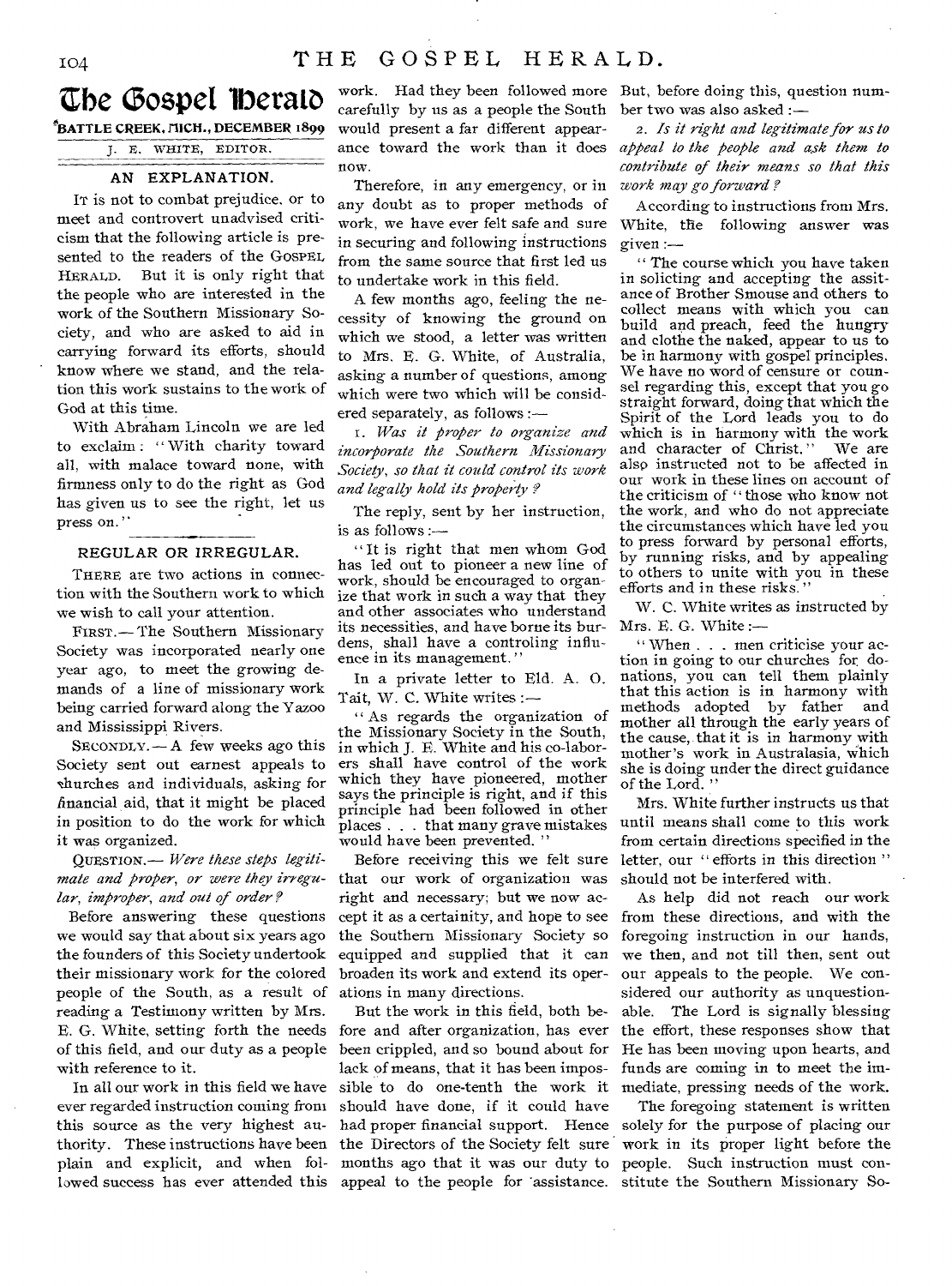### **Ebe C3ospet lberato**

°BATTLE CREEK. nicm., DECEMBER 1899 3. E. WHITE, EDITOR.

#### AN EXPLANATION.

IT is not to combat prejudice. or to meet and controvert unadvised criticism that the following article is presented to the readers of the GOSPEL HERALD. But it is only right that the people who are interested in the work of the Southern Missionary Society, and who are asked to aid in carrying forward its efforts, should know where we stand, and the relation this work sustains to the work of God at this time.

With Abraham Lincoln we are led to exclaim : " With charity toward all, with malace toward none, with firmness only to do the right as God has given us to see the right, let us press on."

#### REGULAR OR IRREGULAR.

THERE are two actions in connection with the Southern work to which we wish to call your attention.

FIRST.— The Southern Missionary Society was incorporated nearly one year ago, to meet the growing demands of a line of missionary work being carried forward along the Yazoo and Mississippi Rivers.

 $S_{ECONDLY.}$  A few weeks ago this Society sent out earnest appeals to churches and individuals, asking for financial aid, that it might be placed in position to do the work for which it was organized.

QUESTION.— *Were these steps legitimate and proper, or were they irregular, improper, and out of order ?* 

Before answering these questions we would say that about six years ago the founders of this Society undertook their missionary work for the colored people of the South, as a result of reading a Testimony written by Mrs. E. G. White, setting forth the needs of this field, and our duty as a people with reference to it.

In all our work in this field we have ever regarded instruction coming from this source as the very highest authority. These instructions have been plain and explicit, and when followed success has ever attended this

carefully by us as a people the South would present a far different appearance toward the work than it does now.

Therefore, in any emergency, or in any doubt as to proper methods of work, we have ever felt safe and sure in securing and following instructions from the same source that first led us to undertake work in this field.

A few months ago, feeling the necessity of knowing the ground on which we stood, a letter was written to Mrs. E. G. White, of Australia, asking a number of questions, among which were two which will be considered separately, as follows :—

I. *Was it proper to organize and incorporate the Southern Missionary Society, so that it could control its work and legally hold its property* 

The reply, sent by her instruction, is as follows :—

" It is right that men whom God has led out to pioneer a new line of work, should be encouraged to organize that work in such a way that they and other associates who understand its necessities, and have borne its burdens, shall have a controling influence in its management. "

In a private letter to Eld. A. 0. Tait, W. C. White writes :—

" As regards the organization of the Missionary Society in the South, in which J. E. White and his co-laborers shall have control of the work which they have pioneered, mother says the principle is right, and if this principle had been followed in other places . . that many grave mistakes would have been prevented. "

Before receiving this we felt sure that our work of organization was right and necessary; but we now accept it as a certainity, and hope to see the Southern Missionary Society so equipped and supplied that it can broaden its work and extend its operations in many directions.

But the work in this field, both before and after organization, has ever been crippled, and so bound about for lack of means, that it has been impossible to do one-tenth the work it should have done, if it could have had proper financial support. Hence the Directors of the Society felt sure months ago that it was our duty to appeal to the people for 'assistance.

work. Had they been followed more But, before doing this, question number two was also asked *:-* 

> *2. Is it right and legitimate for us to appeal to the people and ask them to contribute of their means so that this work may go forward ?*

> According to instructions from Mrs. White, the following answer was given :—

The course which you have taken in solicting and accepting the assitance of Brother Smouse and others to collect means with which you can build and preach, feed the hungry and clothe the naked, appear to us to be in harmony with gospel principles. We have no word of censure or counsel regarding this, except that you go straight forward, doing that which the Spirit of the Lord leads you to do which is in harmony with the work<br>and character of Christ." We are and character of Christ." also instructed not to be affected in our work in these lines on account of the criticism of " those who know not the work, and who do not appreciate the circumstances which have led you to press forward by personal efforts, by running risks, and by appealing to others to unite with you in these efforts and in these risks. "

W. C. White writes as instructed by Mrs. E. G. White :—

" When . . . men criticise your action in going to our churches for donations, you can tell them plainly that this action is in harmony with methods adopted by father mother all through the early years of the cause, that it is in harmony with mother's work in Australasia, which she is doing under the direct guidance of the Lord.

Mrs. White further instructs us that until means shall come to this work from certain directions specified in the letter, our " efforts in this direction" should not be interfered with.

As help did not reach our work from these directions, and with the foregoing instruction in our hands, we then, and not till then, sent out our appeals to the people. We considered our authority as unquestionable. The Lord is signally blessing the effort, these responses show that He has been moving upon hearts, and funds are coming in to meet the immediate, pressing needs of the work.

The foregoing statement is written solely for the purpose of placing our work in its proper light before the people. Such instruction must constitute the Southern Missionary So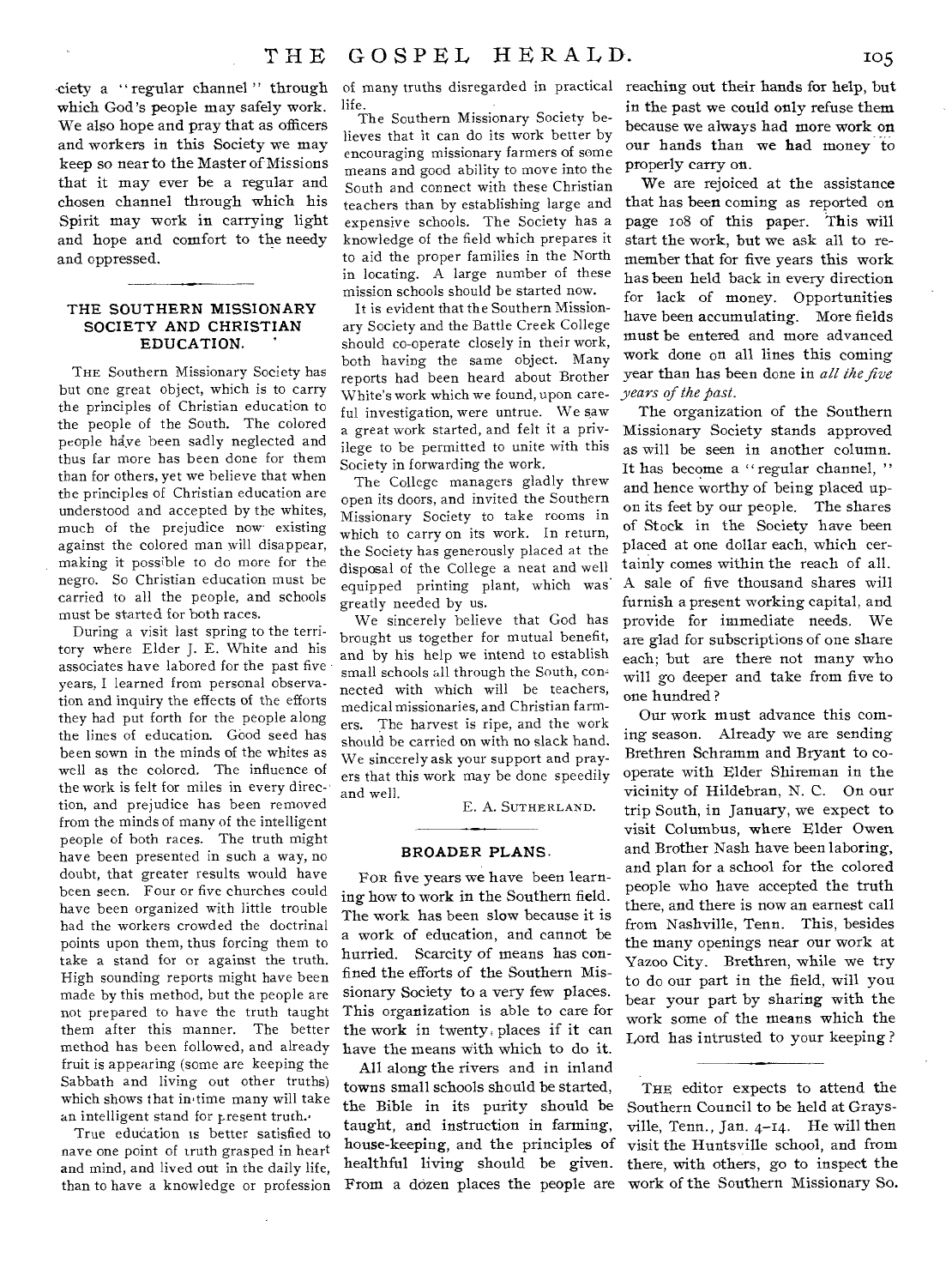ciety a " regular channel " through which God's people may safely work. We also hope and pray that as officers and workers in this Society we may keep so near to the Master of Missions that it may ever be a regular and chosen channel through which his Spirit may work in carrying light and hope and comfort to the needy and oppressed.

 $\tilde{a}$ 

#### **THE SOUTHERN MISSIONARY SOCIETY AND CHRISTIAN EDUCATION.**

THE Southern Missionary Society has but one great object, which is to carry the principles of Christian education to the people of the South. The colored people have been sadly neglected and thus far more has been done for them than for others, yet we believe that when the principles of Christian education are understood and accepted by the whites, much of the prejudice now existing against the colored man will disappear, making it possible to do more for the negro. So Christian education must be carried to all the people, and schools must be started for both races.

During a visit last spring to the territory where Elder J. E. White and his associates have labored for the past five years, I learned from personal observation and inquiry the effects of the efforts they had put forth for the people along the lines of education. Good seed has been sown in the minds of the whites as well as the colored. The influence of the work is felt for miles in every direction, and prejudice has been removed from the minds of many of the intelligent people of both races. The truth might have been presented in such a way, no doubt, that greater results would have been seen. Four or five churches could have been organized with little trouble had the workers crowded the doctrinal points upon them, thus forcing them to take a stand for or against the truth. High sounding reports might have been made by this method, but the people are not prepared to have the truth taught them after this manner. The better method has been followed, and already fruit is appearing (some are keeping the Sabbath and living out other truths) which shows that in time many will take an intelligent stand for present truth.'

True education is better satisfied to nave one point of truth grasped in heart and mind, and lived out in the daily life, than to have a knowledge or profession

life.

The Southern Missionary Society believes that it can do its work better by encouraging missionary farmers of some means and good ability to move into the South and connect with these Christian teachers than by establishing large and expensive schools. The Society has a knowledge of the field which prepares it to aid the proper families in the North in locating. A large number of these mission schools should be started now.

It is evident that the Southern Missionary Society and the Battle Creek College should co-operate closely in their work, both having the same object. Many reports had been heard about Brother White's work which we found, upon careful investigation, were untrue. We saw a great work started, and felt it a privilege to be permitted to unite with this Society in forwarding the work.

The College managers gladly threw open its doors, and invited the Southern Missionary Society to take rooms in which to carry on its work. In return, the Society has generously placed at the disposal of the College a neat and well equipped printing plant, which was greatly needed by us.

We sincerely believe that God has brought us together for mutual benefit, and by his help we intend to establish small schools all through the South, connected with which will be teachers, medical missionaries, and Christian farmers. The harvest is ripe, and the work should be carried on with no slack hand. We sincerely ask your support and prayers that this work may be done speedily and well.

E. A. SUTHERLAND.

#### **BROADER PLANS.**

FOR five years we have been learning how to work in the Southern field. The work has been slow because it is a work of education, and cannot be hurried. Scarcity of means has confined the efforts of the Southern Missionary Society to a very few places. This organization is able to care for the work in twenty. places if it can have the means with which to do it.

All along the rivers and in inland towns small schools should be started, the Bible in its purity should be taught, and instruction in farming, house-keeping, and the principles of healthful living should be given.

of many truths disregarded in practical reaching out their hands for help, but in the past we could only refuse them because we always had more work on our hands than we **had** money to properly carry on.

> We are rejoiced at the assistance that has been coming as reported on page io8 of this paper. This will start the work, but we ask all to remember that for five years this work has been held back in every direction for lack of money. Opportunities have been accumulating. More fields must be entered and more advanced work done on all lines this coming year than has been done in *all the five years of the past.*

> The organization of the Southern Missionary Society stands approved as will be seen in another column. It has become a " regular channel, " and hence worthy of being placed upon its feet by our people. The shares of Stock in the Society have been placed at one dollar each, which certainly comes within the reach of all. A sale of five thousand shares will furnish a present working capital, and provide for immediate needs. We are glad for subscriptions of one share each; but are there not many who will go deeper and take from five to one hundred ?

> Our work must advance this coming season. Already we are sending Brethren Schramm and Bryant to cooperate with Elder Shireman in the vicinity of Hildebran, N. C. On our trip South, in January, we expect to visit Columbus, where Elder Owen and Brother Nash have been laboring, and plan for a school for the colored people who have accepted the truth there, and there is now an earnest call from Nashville, Term. This, besides the many openings near our work at Yazoo City. Brethren, while we try to do our part in the field, will you bear your part by sharing with the work some of the means which the Lord has intrusted to your keeping ?

From a dozen places the people are work of the Southern Missionary So. THE editor expects to attend the Southern Council to be held at Graysville, Tenn., Jan. 4-14. He will then visit the Huntsville school, and from there, with others, go to inspect the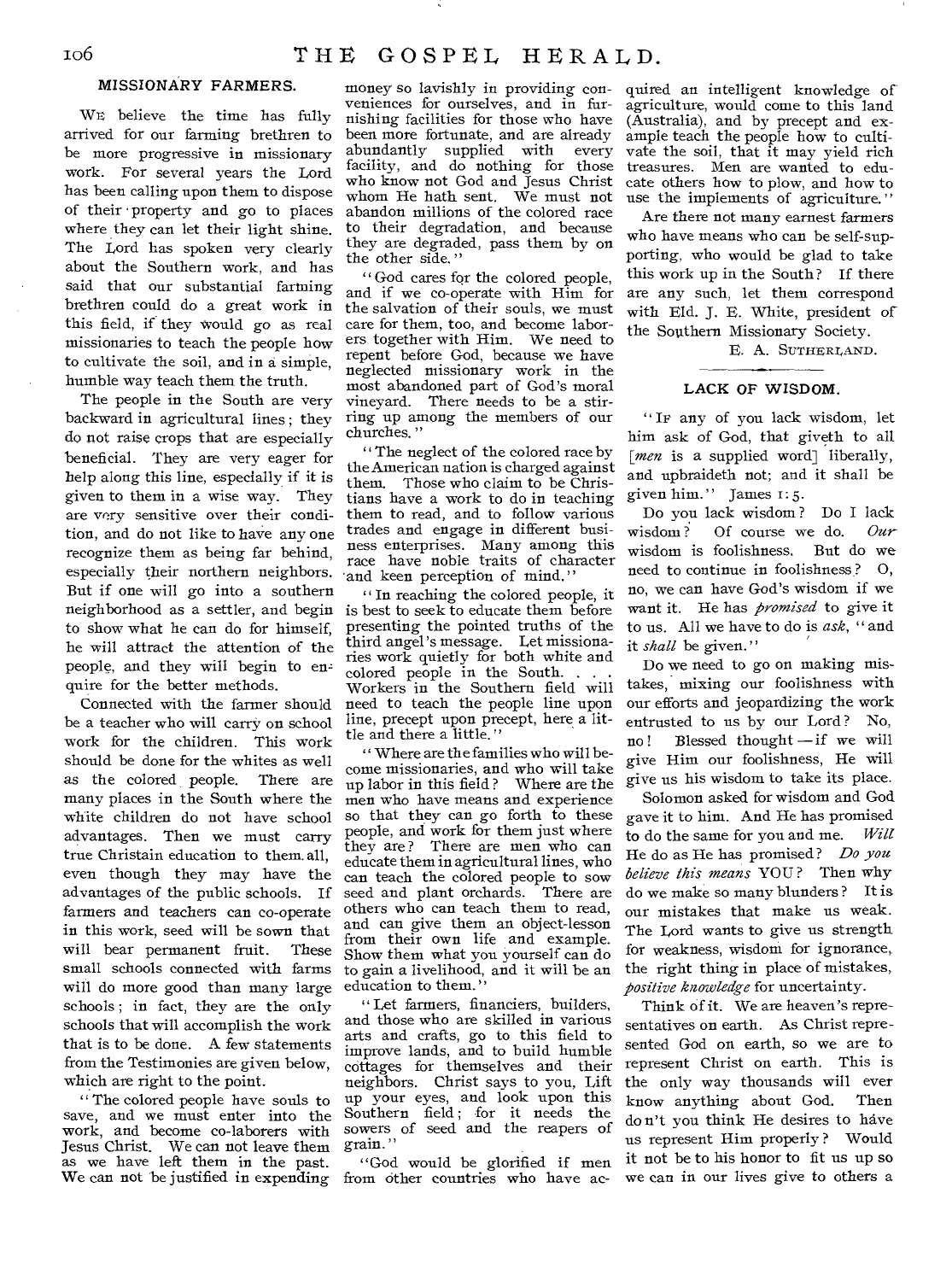#### **MISSIONARY FARMERS.**

WE believe the time has fully arrived for our farming brethren to be more progressive in missionary work. For several years the Lord has been calling upon them to dispose of their • property and go to places where they can let their light shine. The Lord has spoken very clearly about the Southern work, and has said that our substantial farming brethren could do a great work in this field, if they would go as real missionaries to teach the people how to cultivate the soil, and in a simple, humble way teach them the truth.

The people in the South are very backward in agricultural lines ; they do not raise crops that are especially beneficial. They are very eager for help along this line, especially if it is given to them in a wise way. They are very sensitive over their condition, and do not like to have any one recognize them as being far behind, especially their northern neighbors. But if one will go into a southern neighborhood as a settler, and begin is best to seek to educate them before to show what he can do for himself, he will attract the attention of the people, and they will begin to enquire for the better methods.

Connected with the farmer should be a teacher who will carry on school work for the children. This work should be done for the whites as well as the colored, people. There are many places in the South where the white children do not have school advantages. Then we must carry true Christain education to them. all, even though they may have the advantages of the public schools. If farmers and teachers can co-operate in this work, seed will be sown that will bear permanent fruit. These small schools connected with farms will do more good than many large schools ; in fact, they are the only schools that will accomplish the work that is to be done. A few statements from the Testimonies are given below, which are right to the point.

" The colored people have souls to save, and we must enter into the work, and become co-laborers with Jesus Christ. We can not leave them as we have left them in the past. We can not be justified in expending

money so lavishly in providing conveniences for ourselves, and in furnishing facilities for those who have been more fortunate, and are already abundantly supplied with every facility, and do nothing for those who know not God and Jesus Christ whom He hath sent. We must not abandon millions of the colored race to their degradation, and because they are degraded, pass them by on the other side. "

" God cares for the colored people, and if we co-operate with Him for the salvation of their souls, we must care for them, too, and become laborers together with Him. We need to repent before God, because we have neglected missionary work in the most abandoned part of God's moral vineyard. There needs to be a stirring up among the members of our churches."

" The neglect of the colored race by the American nation is charged against them. Those who claim to be Christians have a work to do in teaching them to read, and to follow various trades and engage in different business enterprises. Many among this race have noble traits of character and keen perception of mind."

" In reaching the colored people, it presenting the pointed truths of the third angel's message. Let missionaries work quietly for both white and colored people in the South. Workers in the Southern field will need to teach the people line upon line, precept upon precept, here a little and there a little. "

" Where are the families who will become missionaries, and who will take up labor in this field ? Where are the men who have means and experience so that they can go forth to these people, and work for them just where they are ? There are men who can educate them in agricultural lines, who can teach the colored people to sow seed and plant orchards. There are others who can teach them to read, and can give them an object-lesson from their own life and example. Show them what you yourself can do to gain a livelihood, and it will be an education to them."

" Let farmers, financiers, builders, and those who are skilled in various arts and crafts, go to this field to improve lands, and to build humble cottages for themselves and their neighbors. Christ says to you, Lift up your eyes, and look upon this Southern field; for it needs the *sowers* of seed and the reapers of grain."

"God would be glorified if men from other countries who have acquired an intelligent knowledge of agriculture, would come to this land (Australia), and by precept and example teach the people how to cultivate the soil, that it may yield rich treasures. Men are wanted to educate others how to plow, and how to use the implements of agriculture."

Are there not many earnest farmers who have means who can be self-supporting, who would be glad to take this work up in the South? If there are any such, let them correspond with Eld. J. E. White, president of the Southern Missionary Society.

E. A. SUTHERLAND.

#### **LACK OF WISDOM.**

" IF any of you lack wisdom, let him ask of God, that giveth to all [*men* is a supplied word] liberally, and upbraideth not; and it shall be given him." James 1: 5.

Do you lack wisdom ? Do I lack wisdom ? Of course we do. *Our*  wisdom is foolishness. But do we need to continue in foolishness ? 0, no, we can have God's wisdom if we want it. He has *promised* to give it to us. All we have to do is *ask, "* and it *shall* be given."

Do we need to go on making mistakes, mixing our foolishness with our efforts and jeopardizing the work entrusted to us by our Lord? No, no ! Blessed thought — if we will give Him our foolishness, He will give us his wisdom to take its place.

Solomon asked for wisdom and God gave it to him. And He has promised to do the same for you and me. *Will*  He do as He has promised? *Do you believe this means* YOU ? Then why do we make so many blunders ? It is our mistakes that make us weak. The Lord wants to give us strength for weakness, wisdom for ignorance, the right thing in place of mistakes, *positive knowledge* for uncertainty.

Think of it. We are heaven's representatives on earth. As Christ represented God on earth, so we are to represent Christ on earth. This is the only way thousands will ever know anything about God. Then do n't you think He desires to have us represent Him properly ? Would it not be to his honor to fit us up so we can in our lives give to others a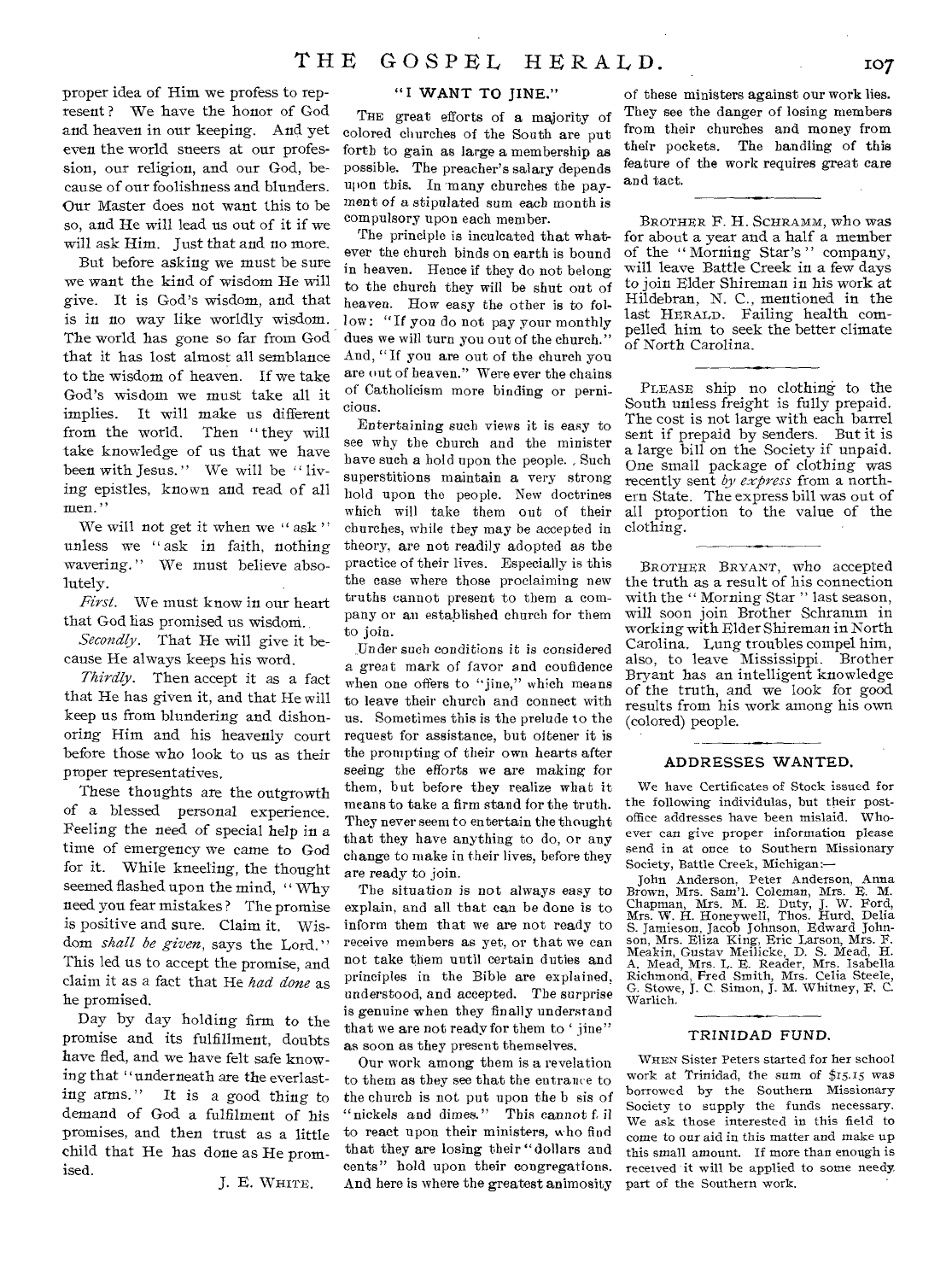proper idea of Him we profess to represent? We have the honor of God and heaven in our keeping. And yet even the world sneers at our profession, our religion, and our God, because of our foolishness and blunders. Our Master does not want this to be so, and He will lead us out of it if we will ask Him. Just that and no more.

But before asking we must be sure we want the kind of wisdom He will give. It is God's wisdom, and that is in no way like worldly wisdom. The world has gone so far from God that it has lost almost all semblance to the wisdom of heaven. If we take God's wisdom we must take all it implies. It will make us different from the world. Then " they will take knowledge of us that we have been with Jesus." We will be "living epistles, known and read of all men."

We will not get it when we "ask" unless we " ask in faith, nothing wavering." We must believe absolutely.

*First.* We must know in our heart that God has promised us wisdom.

*Secondly.* That He will give it because He always keeps his word.

*Thirdly.* Then accept it as a fact that He has given it, and that He will keep us from blundering and dishonoring Him and his heavenly court before those who look to us as their proper representatives.

These thoughts are the outgrowth of a blessed personal experience. Feeling the need of special help in a time of emergency we came to God for it. While kneeling, the thought seemed flashed upon the mind, " Why need you fear mistakes ? The promise is positive and sure. Claim it. Wisdom *shall be given*, says the Lord." This led us to accept the promise, and claim it as a fact that He *had done* as he promised.

Day by day holding firm to the promise and its fulfillment, doubts have fled, and we have felt safe knowing that "underneath are the everlast-<br>ing arms." It is a good thing to It is a good thing to demand of God a fulfilment of his promises, and then trust as a little child that He has done as He promised.

J. E. WHITE.

#### "I WANT TO JINE."

THE great efforts of a majority of colored churches of the South are put forth to gain as large a membership as possible. The preacher's salary depends upon this. In many churches the payment of a stipulated sum each month is compulsory upon each member.

The principle is inculcated that whatever the church binds on earth is bound in heaven. Hence if they do not belong to the church they will be shut out of heaven. How easy the other is to follow: "If you do not pay your monthly dues we will turn you out of the church." And, "If you are out of the church you are out of heaven." Were ever the chains of Catholicism more binding or pernicious.

Entertaining such views it is easy to see why the church and the minister have such a hold upon the people. , Such superstitions maintain a very strong hold upon the people. New doctrines which will take them out of their churches, while they may be accepted in theory, are not readily adopted as the practice of their lives. Especially is this the case where those proclaiming new truths cannot present to them a company or an established church for them to join.

Under such conditions it is considered a great mark of favor and confidence when one offers to "jine," which means to leave their church and connect with us. Sometimes this is the prelude to the request for assistance, but oftener it is the prompting of their own hearts after seeing the efforts we are making for them, but before they realize what it means to take a firm stand for the truth. They never seem to entertain the thought that they have anything to do, or any change to make in their lives, before they are ready to join.

The situation is not always easy to explain, and all that can be done is to inform them that we are not ready to receive members as yet, or that we can not take them until certain duties and principles in the Bible are explained, understood, and accepted. The surprise is genuine when they finally understand that we are not ready for them to 'jine" as soon as they present themselves.

Our work among them is a revelation to them as they see that the entrance to the church is not, put upon the b sis of "nickels and dimes." This cannot f. il to react upon their ministers, *w*ho find that they are losing their " dollars and cents" hold upon their congregations. And here is where the greatest animosity

of these ministers against our work lies. They see the danger of losing members from their churches and money from their pockets. The handling of this feature of the work requires great care and tact.

BROTHER F. H. SCHRAMM, who was for about a year and a half a member of the " Morning Star's " company, will leave Battle Creek in a few days to join Elder Shireman in his work at Hildebran, N. C., mentioned in the last HERALD. Failing health compelled him to seek the better climate of North Carolina.

PLEASE ship no clothing to the South unless freight is fully prepaid. The cost is not large with each barrel sent if prepaid by senders. But it is a large bill on the Society if unpaid. One small package of clothing was recently sent *by express* from a northern State. The express bill was out of all proportion to the value of the clothing.

BROTHER BRYANT, who accepted the truth as a result of his connection with the " Morning Star " last season, will soon join Brother Schramm in working with Elder Shireman in North Carolina. Lung troubles compel him, also, to leave Mississippi. Brother Bryant has an intelligent knowledge of the truth, and we look for good results from his work among his own (colored) people.

#### ADDRESSES WANTED.

We have Certificates of Stock issued for the following individulas, but their postoffice addresses have been mislaid. Whoever can give proper information please send in at once to Southern Missionary<br>Society, Battle Creek, Michigan:-Society, Battle Creek, Michigan:—

John Anderson, Peter Anderson, Anna Brown, Mrs. Sam'l. Coleman, Mrs. E. M. Chapman, Mrs. H. Ford, Mrs. W. Ford, Mrs. W. H. Honeywell, Thos. Hurd, Delia S. Jamieson, Jacob Johnson, Edward Johnson, Mrs. Eliza King, Eric Lars

#### TRINIDAD FUND.

WHEN Sister Peters started for her school work at Trinidad, the sum of \$15.15 was borrowed by the Southern Missionary Society to supply the funds necessary. We ask those interested in this field to come to our aid in this matter and make up this small amount. If more than enough is received it will be applied to some needy part of the Southern work.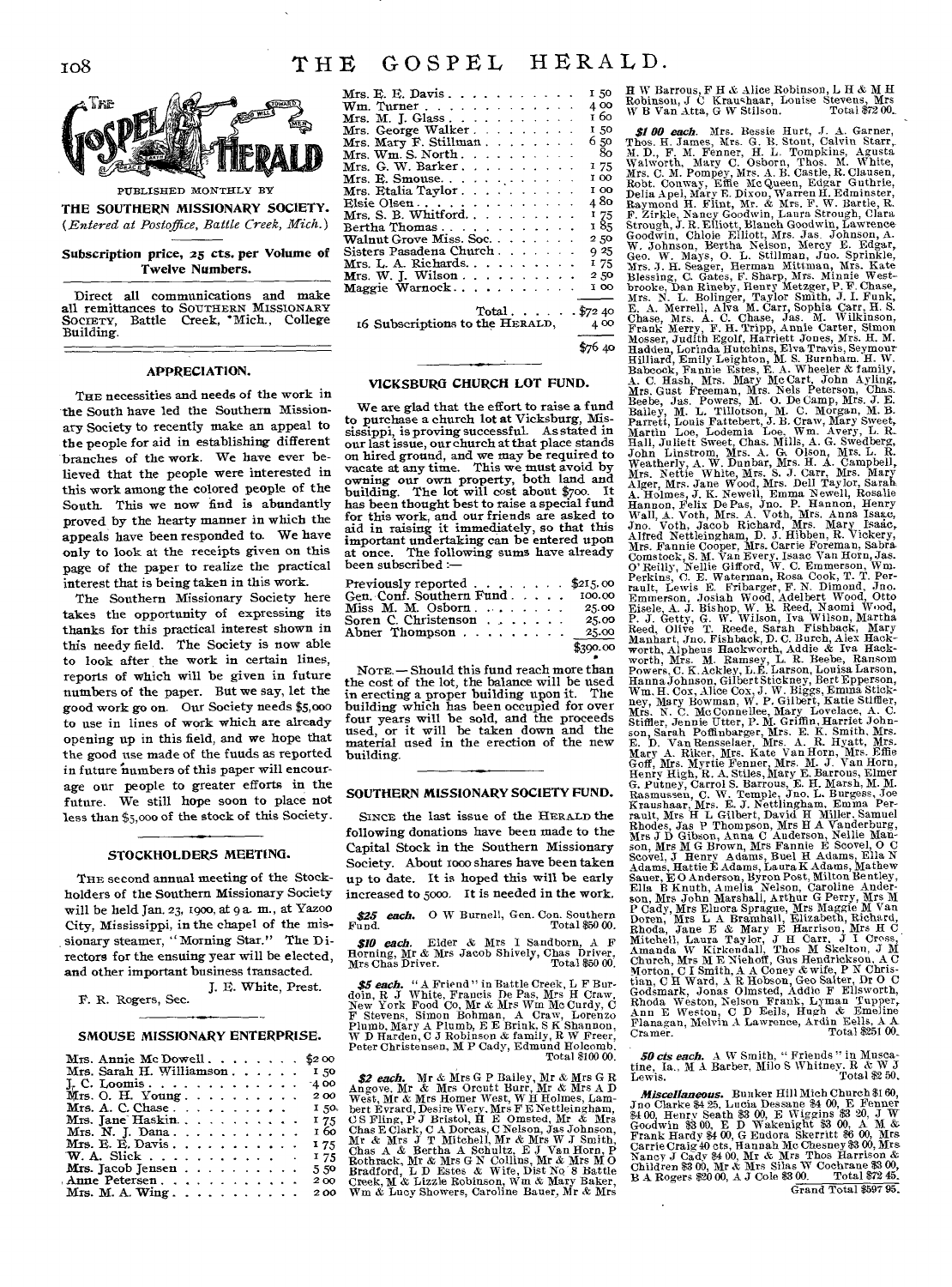

PUBLISHED MONTHLY BY THE SOUTHERN MISSIONARY SOCIETY. *(Entered at Postoffice, Battle Creek, Mich.)* 

Subscription price, 25 cts. per Volume of Twelve Numbers.

Direct all communications and make all remittances to SOUTHERN MISSIONARY SOCIETY, Battle Creek, 'Mich., College SOCIETY,<br>Building.

#### APPRECIATION.

THE necessities and needs of the work in the South have led the Southern Missionary Society to recently make an appeal to the people for aid in establishing different branches of the work. We have ever believed that the people were interested in this work among the colored people of the South. This we now find is abundantly proved by the hearty manner in which the appeals have been responded to. We have only to look at the receipts given on this page of the paper to realize the practical interest that is being taken in this work.

The Southern Missionary Society here takes the opportunity of expressing its thanks for this practical interest shown in this needy field. The Society is now able to look after the work in certain lines, reports of which will be given in future numbers of the paper. But we say, let the good work go on. Our Society needs \$5,000 to use in lines of work which are already opening up in this field, and we hope that the good use made of the funds as reported in future numbers of this paper will encourage our people to greater efforts in the future. We still hope soon to place not less than \$5,000 of the stock of this Society.

#### STOCKHOLDERS MEETING.

THE second annual meeting of the Stockholders of the Southern Missionary Society will be held Jan. 23, 1900, at 9 a. m., at Yazoo City, Mississippi, in the chapel of the missionary steamer, "Morning Star." The Directors for the ensuing year will be elected, and other important business transacted.

J. *E.* White, Prest.

P. R. Rogers, Sec.

#### SMOUSE MISSIONARY ENTERPRISE.

| Mrs. Annie Mc Dowell. $\ldots$ , $\ldots$ \$2.00                                             |  |  |  |            |
|----------------------------------------------------------------------------------------------|--|--|--|------------|
| Mrs. Sarah H. Williamson,  150                                                               |  |  |  |            |
| I. C. Loomis.                                                                                |  |  |  | $-400$     |
| Mrs. O. H. Young $\ldots$ $\ldots$ $\ldots$                                                  |  |  |  | 200        |
| Mrs. A. C. Chase $\ldots$ $\ldots$ $\ldots$ $\ldots$ $\ldots$ $\ldots$ $\ldots$ $\ldots$ 50. |  |  |  |            |
| Mrs. Jane Haskin                                                                             |  |  |  | 175        |
|                                                                                              |  |  |  | 1 бо       |
| Mrs. E. E. Davis. $\ldots$ .                                                                 |  |  |  | <b>175</b> |
|                                                                                              |  |  |  | 175        |
|                                                                                              |  |  |  | 5.50       |
| Anne Petersen.                                                                               |  |  |  | 200        |
|                                                                                              |  |  |  | 200        |
|                                                                                              |  |  |  |            |

| Mrs. E. E. Davis. $\ldots$ .              |  |  |  |  |  |  | 1.50 |
|-------------------------------------------|--|--|--|--|--|--|------|
| $Wm.$ Turner                              |  |  |  |  |  |  | 4.00 |
| Mrs. M. J. Glass. $\ldots$                |  |  |  |  |  |  | 160  |
| Mrs. George Walker.                       |  |  |  |  |  |  | 150  |
| Mrs. Mary F. Stillman.                    |  |  |  |  |  |  | 6.50 |
| $Mrs. Wm. S. North. \ldots \ldots \ldots$ |  |  |  |  |  |  | - 80 |
| Mrs. G. W. Barker. $\ldots$ .             |  |  |  |  |  |  | 175  |
|                                           |  |  |  |  |  |  | 1 00 |
| Mrs. Etalia Taylor.                       |  |  |  |  |  |  | I OO |
| Elsie Olsen                               |  |  |  |  |  |  | 4 80 |
| Mrs. S. B. Whitford. $\ldots$ $\ldots$ .  |  |  |  |  |  |  | I 75 |
| Bertha Thomas                             |  |  |  |  |  |  | 185  |
| Walnut Grove Miss. Soc.                   |  |  |  |  |  |  | 250  |
| Sisters Pasadena Church                   |  |  |  |  |  |  | Q 25 |
| $Mrs. L. A. Richards. \ldots \ldots$      |  |  |  |  |  |  | I 75 |
| Mrs. W. J. Wilson                         |  |  |  |  |  |  | 2.50 |
| Maggie Warnock                            |  |  |  |  |  |  | 1 00 |
|                                           |  |  |  |  |  |  |      |
| Total $\frac{2}{372}$ 40                  |  |  |  |  |  |  |      |
| 16 Subscriptions to the HERALD, 400       |  |  |  |  |  |  |      |
|                                           |  |  |  |  |  |  |      |

\$76 40

#### VICKSBURG CHURCH LOT FUND.

We are glad that the effort to raise a fund to purchase a church lot at Vicksburg, Mississippi, is proving successful. As stated in our last issue, our church at that place stands on hired ground, and we may be required to vacate at any time. This we must avoid by owning our own property, both land and building. The lot will cost about \$700. It has been thought best to raise a special fund for this work, and our friends are asked to aid in raising it immediately, so that this important undertaking can be entered upon at once. The following sums have already been subscribed :—

| Previously reported $\ldots$ , $\ldots$ , $\frac{215}{000}$ |  |  |          |
|-------------------------------------------------------------|--|--|----------|
| Gen. Conf. Southern Fund 100.00                             |  |  |          |
| Miss M. M. Osborn $25.00$                                   |  |  |          |
| Soren C. Christenson                                        |  |  | 25.00    |
| Abner Thompson $\ldots$ 25.00                               |  |  |          |
|                                                             |  |  | \$390.00 |
|                                                             |  |  |          |
|                                                             |  |  |          |

NOTE.— Should this fund reach more than the cost of the lot, the balance will be used<br>in erecting a proper building upon it. The in erecting a proper building upon it. building which has been occupied for over four years will be sold, and the proceeds used, or it will be taken down and the material used in the erection of the new building.

#### SOUTHERN MISSIONARY SOCIETY FUND.

SINCE the last issue of the HERALD the following donations have been made to the Capital Stock in the Southern Missionary Society. About 1000 shares have been taken up to date. It is hoped this will be early increased to 5000. It is needed in the work,

*\$25 each.* 0 W Burnell, Gen. Con. Southern Fund. Total \$50 00.

*\$10 each.* Elder & Mrs I Sandborn, A F Horning, Mr & Mrs Jacob Shively, Chas Driver, Mrs Chas Driver. Total \$50 00,

\$5 each. "A Friend" in Battle Creek, L F Burdoin, R J White, Francis De Pas, Mrs H Craw, New York Food Co, Mr & Mrs Wm Mc Curdy, C F Stevens, Simon Bohman, A Craw, Lorenzo Plumb, Mary A Plumb, E Brink, S K Shannon, W D Har Total \$100 00.

\$2 each. Mr & Mrs G P Bailey, Mr & Mrs G R<br>Angeve. Mr & Mrs Grentt Burr, Mr & Mrs G R<br>Angeve. Mr & Mrs Homer West, W H Holmes, Lam-<br>bert Evrard, Desire Wey, Mrs F B Nettleingham,<br>CS Fling, P J Bristol, H E Omsted, Mr & Mr

H W Barrous, F H& Alice Robinson, LRAM IE Robinson, J C Kraushaar, Louise Stevens, Mrs W B Van Atta, G W Stilson. Total \$72 00..

**SP 60 ench.** Mrs. Bessie Burt, J. A. Garne, H. A. Garne, H. A. Garne, H. A. Garne, H. A. Garne, H. A. Garne, H. A. Garne, H. A. Garne, H. A. Garne, H. A. H. Fenne, E. M. Fenne, E. M. Fenne, H. A. H. Fenne, H. A. H. Fenne

*50 cts each.* A W Smith, " Friends " in Muscatine, Ia., M A Barber, Milo S Whitney. R & W J<br>Lewis. Total \$2 50.

*Miscellaneous.* Bunker Hill Mich Church \$160, Jno Charke \$425, Lucia Dessane \$4 00, E Fenner \$160, E of  $\mathbb{R}^4$  Of  $\mathbb{R}^4$  Of  $\mathbb{R}^4$  Of  $\mathbb{R}^4$  Of  $\mathbb{R}^4$  Of  $\mathbb{R}^4$  Of  $\mathbb{R}^4$  Of  $\mathbb{R}^4$  Of  $\mathbb$ Grand Total \$597 95.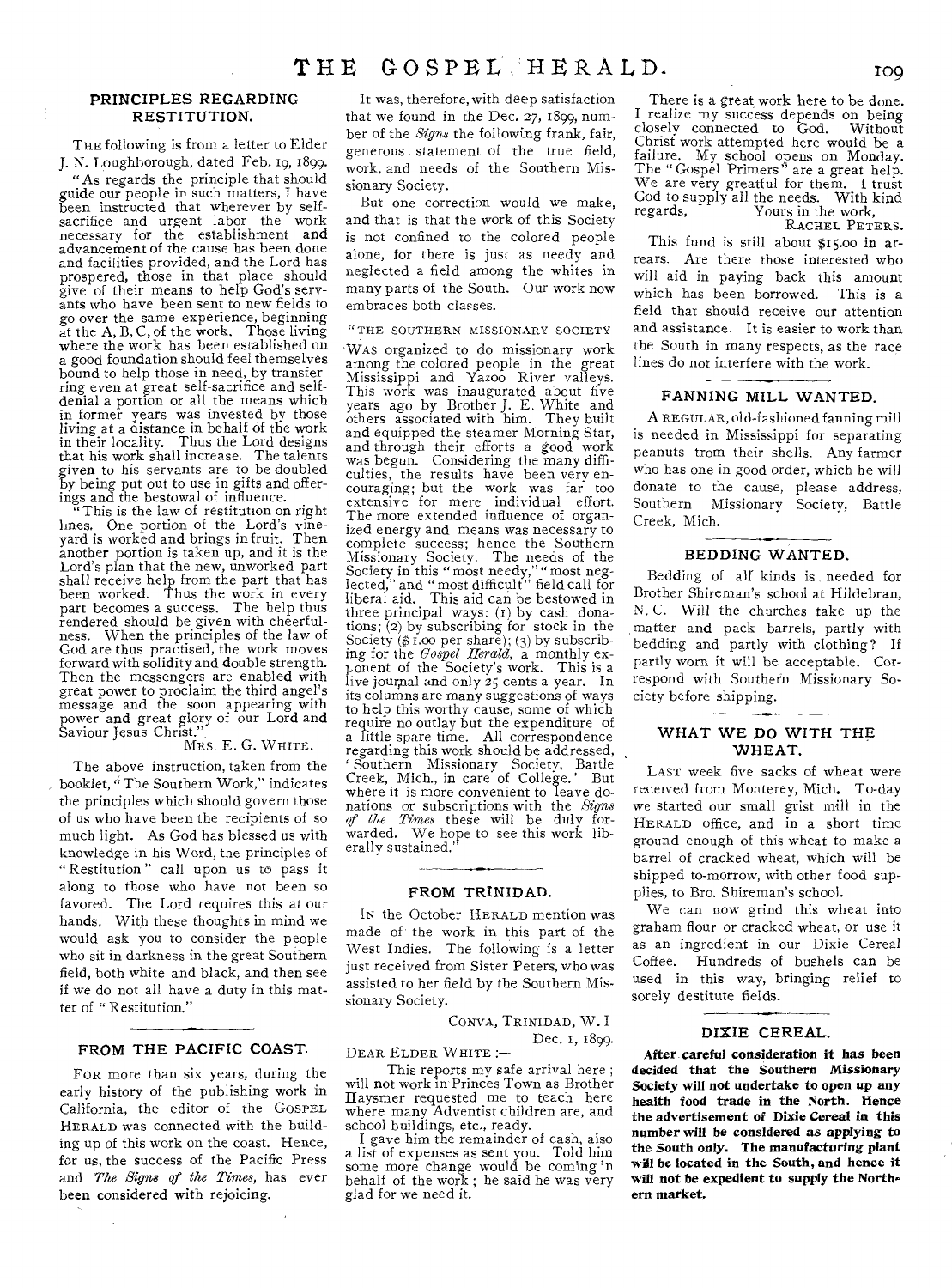#### PRINCIPLES REGARDING RESTITUTION.

THE following is from a letter to Elder J. N. Loughborough, dated Feb. 19, 1899.

"As regards the principle that should guide our people in such matters, I have been instructed that wherever by self-sacrifice and urgent labor the work necessary for the establishment and advancement of the cause has been done and facilities provided, and the Lord has prospered, those in that place should give of their means to help God's servants who have been sent to new fields to go over the same experience, beginning at the A, B, C, of the work. Those living where the work has been established on a good foundation should feel themselves bound to help those in need, by transferring even at great self-sacrifice and self-denial a portion or all the means which in former years was invested by those living at a distance in behalf of the work in their locality. Thus the Lord designs that his work shall increase. The talents given to his servants are to be doubled by being put out to use in gifts and offer-

ings and the bestowal of influence. "This is the law of restitution on right lines. One portion of the Lord's vine-yard is worked and brings in fruit. Then another portion is taken up, and it is the Lord's plan that the new, unworked part shall receive help from the part that has been worked. Thus the work in every part becomes a success. The help thus rendered should be given with cheerfulness. When the principles of the law of God are thus practised, the work moves forward with solidity and double strength. Then the messengers are enabled with great power to proclaim the third angel's message and the soon appearing with power and great glory of our Lord and Saviour Jesus Christ.",

#### MRS. E. G. WHITE.

The above instruction, taken from the booklet, "The Southern Work," indicates the principles which should govern those of us who have been the recipients of so much light. As God has blessed us with knowledge in his Word, the principles of " Restitution " call upon us to pass it along to those who have not been so favored. The Lord requires this at our hands. With these thoughts in mind we would ask you to consider the people who sit in darkness in the great Southern field, both white and black, and then see if we do not all have a duty in this matter of " Restitution."

#### FROM THE PACIFIC **COAST.**

FOR more than six years, during the early history of the publishing work in California, the editor of the GOSPEL HERALD was connected with the building up of this work on the coast. Hence, for us, the success of the Pacific Press and *The Signs of the Times,* has ever been considered with rejoicing.

It was, therefore, with deep satisfaction that we found in the Dec. 27, 1899, number of the *Signs* the following frank, fair, generous statement of the true field, work, and needs of the Southern Missionary Society.

But one correction would we make, and that is that the work of this Society is not confined to the colored people alone, for there is just as needy and neglected a field among the whites in many parts of the South. Our **work** now embraces both classes.

#### "THE SOUTHERN MISSIONARY SOCIETY

WAS organized to do missionary work among the colored people in the great Mississippi and Yazoo River valleys. This work was inaugurated about five years ago by Brother J. E. White and others associated with him. They built and equipped the steamer Morning Star, and through their efforts a good work was begun. Considering the many difficulties, the results have been very en-couraging; but the work was far too extensive for mere individual effort. The more extended influence of organized energy and means was necessary to complete success; hence the Southern Missionary Society. The needs of the Society in this " most needy," " most neg-lected," and " most difficult" field call for liberal aid. This aid can be bestowed in three principal ways: (t) by cash donations; (2) by subscribing for stock in the Society  $(\$ \ 1.00 \text{ per share})$ ; (3) by subscribing for the *Gospel Herald,* a monthly ex-ponent of the Society's work. This is a live jour,nal and only 25 cents a year. In its columns are many suggestions of ways to help this worthy cause, some of which require no outlay but the expenditure of a little spare time. All correspondence regarding this work should be addressed, Southern Missionary Society, Battle Creek, Mich., in care of College.' But where it is more convenient to leave donations or subscriptions with the *Signs of the Times* these will be duly forwarded. We hope to see this work lib-erally sustained."

#### FROM TRINIDAD.

IN the October HERALD mention was made of the work in this part of the West Indies. The following is a letter just received from Sister Peters, who was assisted to her field by the Southern Missionary Society.

> CONVA, TRINIDAD, W. I Dec. I, 1899.

DEAR ELDER WHITE :— This reports my safe arrival here ;

will not work in Princes Town as Brother Haysmer requested me to teach here where many Adventist children are, and school buildings, etc., ready.

I gave him the remainder of cash, also a list of expenses as sent you. Told him some more change would be coming in behalf of the work ; he said he was very glad for we need it.

There is a great work here to be done. I realize my success depends on being closely connected to God. Without Christ work attempted here would be a failure. My school opens on Monday. The " Gospel Primers " are a great help. We are very greatful for them. I trust God to supply all the needs. With kind<br>regards, Yours in the work. Yours in the work.

RACHEL PETERS.

This fund is still about \$15.00 in arrears. Are there those interested who will aid in paying back this amount which has been borrowed. This is a field that should receive our attention and assistance. It is easier to work than the South in many respects, as the race lines do not interfere with the work.

#### **FANNING MILL WANTED.**

A REGULAR, old-fashioned fanning mill is needed in Mississippi for separating peanuts trom their shells. Any farmer who has one in good order, which he will donate to the cause, please address, Southern Missionary Society, Battle Creek, Mich.

#### **BEDDING WANTED.**

Bedding of all kinds is needed for Brother Shireman's school at Hildebran, N. C. Will the churches take up the matter and pack barrels, partly with bedding and partly with clothing? If partly worn it will be acceptable. Correspond with Southern Missionary Society before shipping.

#### **WHAT WE DO WITH THE WHEAT.**

LAST week five sacks of wheat were received from Monterey, Mich. To-day we started our small grist mill in the HERALD office, and in a short time ground enough of this wheat to make a barrel of cracked wheat, which will be shipped to-morrow, with other food supplies, to Bro. Shireman's school.

We can now grind this wheat into graham flour or cracked wheat, or use it as an ingredient in our Dixie Cereal Coffee. Hundreds of bushels can be used in this way, bringing relief to sorely destitute fields.

#### **DIXIE** CEREAL.

After careful consideration it has been decided that the Southern Missionary Society will not undertake to open up any health food trade in the North. Hence the advertisement of Dixie *Cereal* in this number will be considered as applying to the South only. The manufacturing plant will be located in the South, and hence it will not be expedient to supply the Northern market,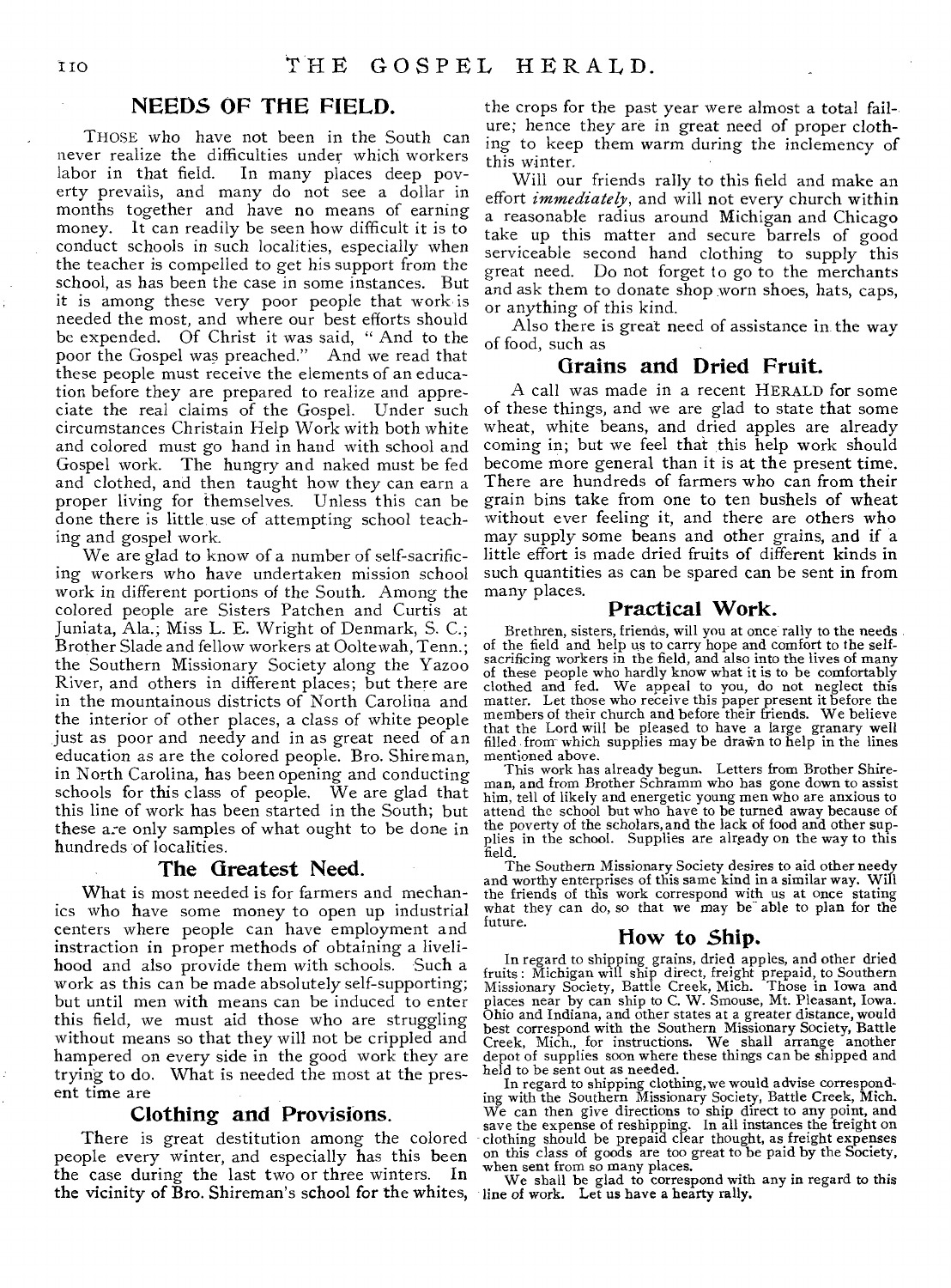#### **NEEDS OF THE FIELD.**

THOSE who have not been in the South can never realize the difficulties under which workers<br>labor in that field. In many places deep pov-In many places deep poverty prevails, and many do not see a dollar in months together and have no means of earning money. It can readily be seen how difficult it is to conduct schools in such localities, especially when the teacher is compelled to get his support from the school, as has been the case in some instances. But it is among these very poor people that work is needed the most, and where our best efforts should be expended. Of Christ it was said, " And to the poor the Gospel was preached." And we read that these people must receive the elements of an education before they are prepared to realize and appreciate the real claims of the Gospel. Under such circumstances Christain Help Work with both white and colored must go hand in hand with school and Gospel work. The hungry and naked must be fed and clothed, and then taught how they can earn a proper living for themselves. Unless this can be done there is little use of attempting school teaching and gospel work.

We are glad to know of a number of self-sacrificing workers who have undertaken mission school work in different portions of the South. Among the colored people are Sisters Patchen and Curtis at Juniata, Ala.; Miss L. E. Wright of Denmark, S. C.; Brother Slade and fellow workers at Ooltewah, Tenn.; the Southern Missionary Society along the Yazoo River, and others in different places; but there are in the mountainous districts of North Carolina and the interior of other places, a class of white people just as poor and needy and in as great need of an education as are the colored people. Bro. Shire man, in North Carolina, has been opening and conducting schools for this class of people. We are glad that this line of work has been started in the South; but these are only samples of what ought to be done in hundreds of localities.

#### **The Greatest Need.**

What is most needed is for farmers and mechanics who have some money to open up industrial centers where people can have employment and instraction in proper methods of obtaining a livelihood and also provide them with schools. Such a work as this can be made absolutely self-supporting; but until men with means can be induced to enter this field, we must aid those who are struggling without means so that they will not be crippled and hampered on every side in the good work they are trying to do. What is needed the most at the present time are

#### **Clothing and Provisions.**

There is great destitution among the colored people every winter, and especially has this been the case during the last two or three winters. In the vicinity of Bro. Shireman's school for the whites, line of work. Let us have a hearty rally.

the crops for the past year were almost a total failure; hence they are in great need of proper clothing to keep them warm during the inclemency of this winter.

Will our friends rally to this field and make an effort *immediately,* and will not every church within a reasonable radius around Michigan and Chicago take up this matter and secure barrels of good serviceable second hand clothing to supply this great need. Do not forget to go to the merchants and ask them to donate shop worn shoes, hats, caps, or anything of this kind.

Also there is great need of assistance in the way of food, such as

#### **Grains and Dried Fruit.**

A call was made in a recent HERALD for some of these things, and we are glad to state that some wheat, white beans, and dried apples are already coming in; but we feel that this help work should become more general than it is at the present time. There are hundreds of farmers who can from their grain bins take from one to ten bushels of wheat without ever feeling it, and there are others who may supply some beans and other grains, and if a little effort is made dried fruits of different kinds in such quantities as can be spared can be sent in from many places.

#### **Practical Work.**

Brethren, sisters, friends, will you at once rally to the needs of the field and help us to carry hope and comfort to the self-sacrificing workers in the field, and also into the lives of many of these people who hardly know what it is to be comfortably clothed and fed. We appeal to you, do not neglect this matter. Let those who receive this paper present it before the members of their church and before their friends. We believe that the Lord will be pleased to have a large granary well filled from-which supplies may be drawn to help in the lines mentioned above.

This work has already begun. Letters from Brother Shire-man, and from Brother Schramm who has gone down to assist him, tell of likely and energetic young men who are anxious to attend the school but who have to be turned away because of the poverty of the scholars, and the lack of food and other sup-plies in the school. Supplies are already on the way to this field.

The Southern Missionary Society desires to aid other needy and worthy enterprises of this same kind in a similar way. Will the friends of this work correspond with us at once stating what they can do, so that we may be able to plan for the future.

#### **How to Ship.**

In regard to shipping grains, dried apples, and other dried<br>fruits: Michigan will ship direct, freight prepaid, to Southern<br>Missionary Society, Battle Creek, Mich. Those in Iowa and<br>places near by can ship to C. W. Smouse, Ohio and Indiana, and other states at a greater distance, would best correspond with the Southern Missionary Society, Battle Creek, Mich., for instructions. We shall arrange another depot of supplies soon where these things can be shipped and held to be sent out as needed.

In regard to shipping clothing, we would advise correspond-ing with the Southern Missionary Society, Battle Creek, Mich. We can then give directions to ship direct to any point, and save the expense of reshipping. In all instances the freight on clothing should be prepaid clear thought, as freight expenses on this class of goods are too great to be paid by the Society, when sent from so many places.

We shall be glad to correspond with any in regard to this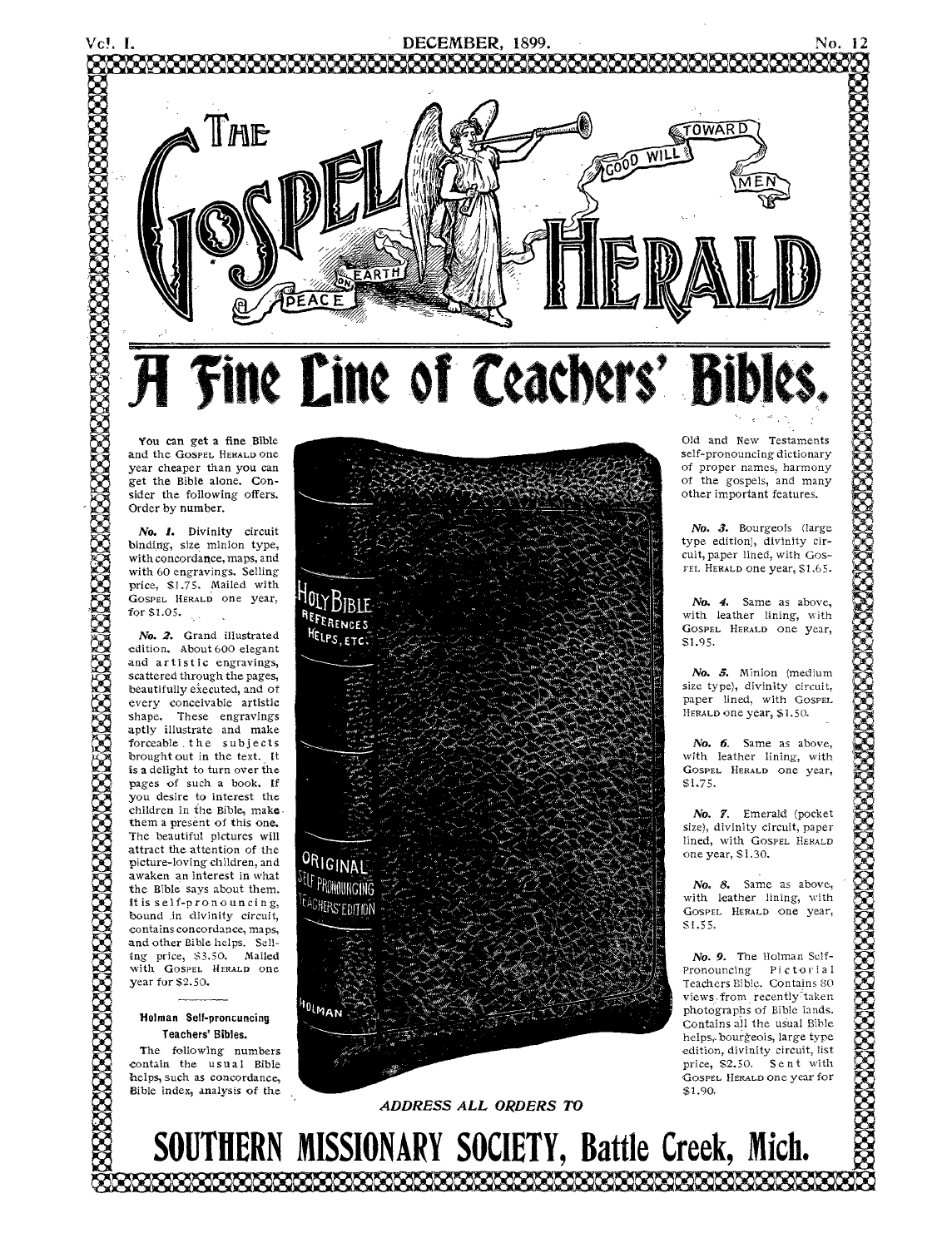

You can get a fine Bible and the GOSPEL HERALD one year cheaper than you can get the Bible alone. Consider the following offers. Order by number.

*No. I.* Divinity circuit binding, size minion type, with concordance, maps, and with 60 engravings. Selling price, 51.75. Mailed with GOSPEL HERALD One year, for \$1.05.

*No. 2.* Grand illustrated edition. About 600 elegant and artistic engravings, scattered through the pages, beautifully executed, and of every conceivable artistic shape. These engravings aptly illustrate and make forceable. the subjects brought out in the text. It is a delight to turn over the pages of such a book. If you desire to interest the children in the Bible, make. them a present of this one. The beautiful pictures will attract the attention of the picture-loving children, and awaken an interest in what the Bible says about them. It is self-pronouncing, bound in divinity circuit, contains concordance, maps, and other Bible helps. Selling price, \$3.50. Mailed with GOSPEL HERALD one year for \$2.50.

#### Holman Self-proncuncing Teachers' Bibles.

The following numbers contain the usual Bible helps, such as concordance, Bible index, analysis of the





Old and New Testaments self-pronouncing dictionary of proper names, harmony of the gospels, and many other important features.

*No. 3.* Bourgeois (large type edition), divinity circuit, paper lined, with Gos-FEL HERALD one year, \$1.65.

*No. 4.* Same as above, with leather lining, with GOSPEL HERALD one year, \$1.95.

*No. 5.* Minion (medium size type), divinity circuit, paper lined, with GOSPEL HERALD one year, \$1.50.

*No. 6.* Same as above, with leather lining, with GOSPEL HERALD one year, \$1.75.

*No. 7.* Emerald (pocket size), divinity circuit, paper lined, with GOSPEL HERALD one year, \$1.30.

*No. 8.* Same as above, with leather lining, with GOSPEL HERALD one year, SI.55.

*No. 9.* The Holman Self-Pronouncing Pictorial Teachers Bible. Contains 80 views from recently taken photographs of Bible lands. Contains all the usual Bible helps., bourgeois, large type edition, divinity circuit, list price, \$2.50. Sent with GOSPEL HERALD one year for \$1.90.

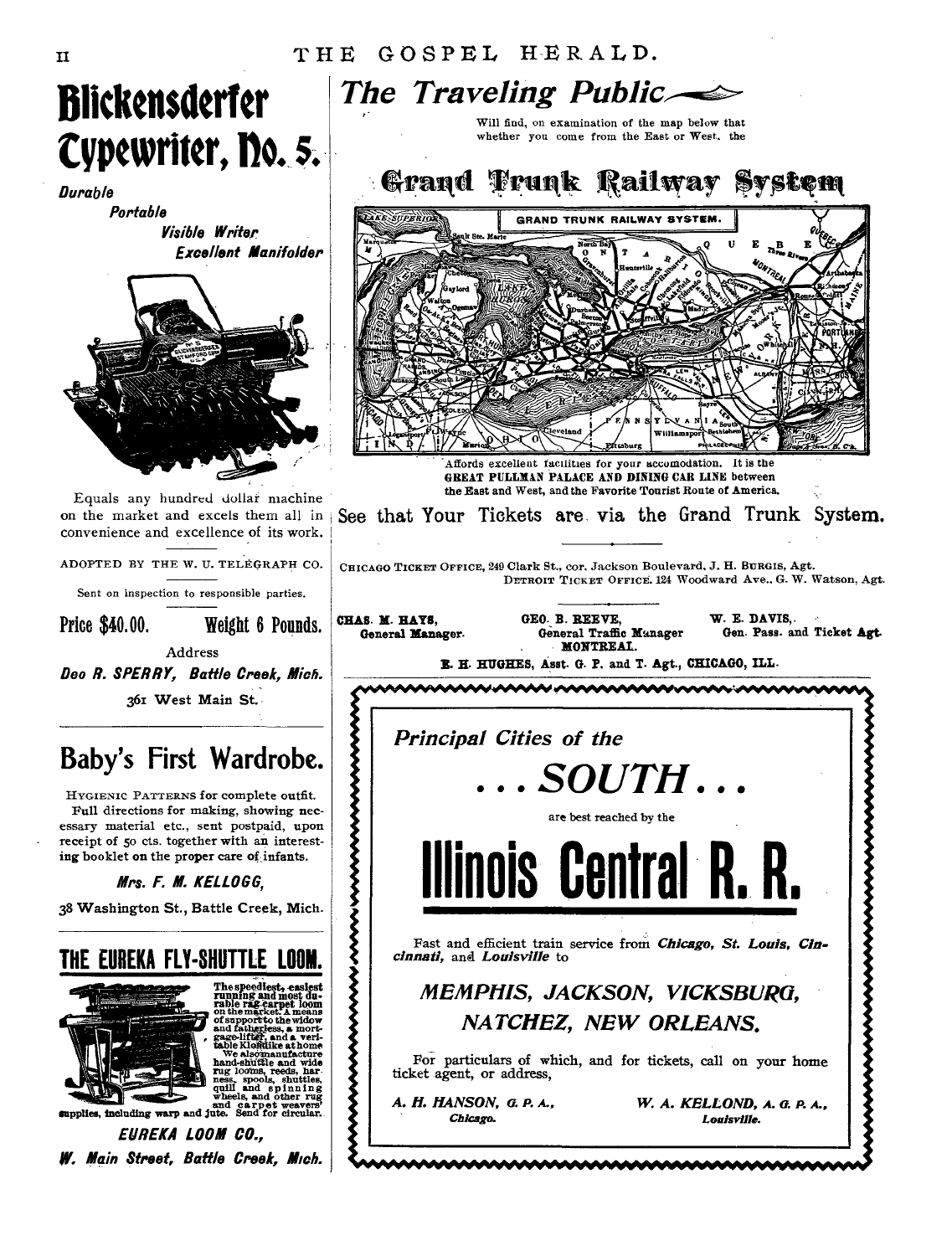

HYGIENIC PATTERNS for complete outfit. Full directions for making, showing necessary material etc., sent postpaid, upon receipt of 5o cts. together with an interesting booklet on the proper care **of infants.** 

**Mrs. F. M. KELLOGG,** 

**38 Washington St., Battle Creek, Mich.** 



**W. Main Street, Battle Creek, Mich.** 

*The Traveling Public*  Will find, on examination of the map below that whether you come from the East or West. the Grand Trunk Railway System **KE SUPERIO** COAND TOUNK BAILWAY SYSTEM  $n^B$ Affords excellent facilities for your sccomodation. It is the **GREAT PULLMAN PALACE AND DINING CAR LINE between** the East and West, and the Favorite Tourist Route of America. See that Your Tickets are via the Grand Trunk System. CHICAGO TICKET OFFICE, 249 Clark St., cor. Jackson Boulevard, J. H. BURGIS, Agt. DETROIT TICKET OFFICE, 124 Woodward Ave.. G. W. Watson, Agt. CHAS. M. HAYS, **GEO. B. REEVE, W. E. DAVIS, General Manager** General Manager Gen. Pass. ar Gen. Pass. and Ticket Agt. **MONTREAL. R. H. HUGHES, Asst. G. P. and T. Agt., CHICAGO, ILL.**  44049VVVIAPOWtItietieeree'Ver. I *Principal Cities of the . SOUTH .*  ▞▞▞▞▞▞▞▞▞▞▞▞▞▞▞▞▞▞▞▞▞▞▞▞▞▞▞▞ are best reached by the **Illinois Central R. R.**  Fast and efficient train **service from** *Chicago, St. Louis, Cincinnati,* and *Louisville* **to**  *MEMPHIS, JACKSON, VICKSBURG, NATCHEZ, NEW ORLEANS.*  For particulars of which, and for tickets, call **on your home ticket agent, or address,**  *A. H. HANSON, 0. P. A., W. A. KELLOND, A. C. P. A., Chicago. Louisville.*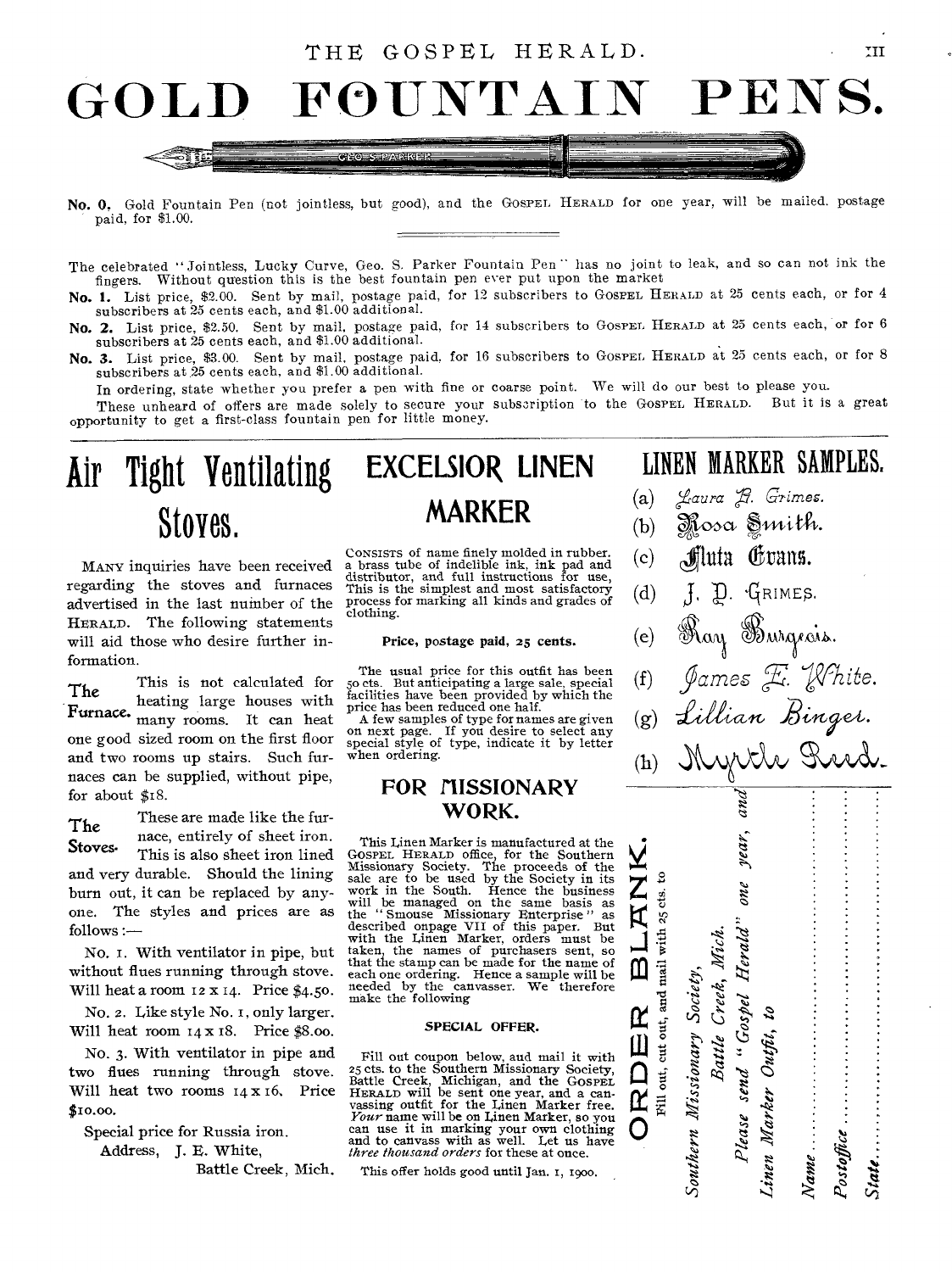#### THE GOSPEL HERALD.



- No. 0. Gold Fountain Pen (not jointless, but good), and the GOSPEL HERALD for one year, will be mailed. postage paid, for \$1.00.
- The celebrated " Jointless, Lucky Curve, Geo. S. Parker Fountain Pen" has no joint to leak, and so can not ink the fingers. Without question this is the best fountain pen ever put upon the market
- No. 1. List price, \$2.00. Sent by mail, postage paid, for 12 subscribers to GOSPEL HERALD at 25 cents each, or for 4 subscribers at 25 cents each, and \$1.00 additional.
- No. 2. List price, \$2.50. Sent by mail, postage paid, for 14 subscribers to GospEL HERALD at 25 cents each, or for 6 subscribers at 25 cents each, and \$1.00 additional.
- No. 3. List price, \$3.00. Sent by mail, postage paid, for 16 subscribers to GOSPEL. HERALD at 25 cents each, or for 8 subscribers at 25 cents each, and \$1.00 additional.

In ordering, state whether you prefer a pen with fine or coarse point. We will do our best to please you.

These unheard of offers are made solely to secure your subscription to the GOSPEL HERALD. But it is a great opportunity to get a first-class fountain pen for little money.

### Air Tight Ventilating EXCELSIOR LINEN LINEN MARKER SAMPLES. Stores.

MANY inquiries have been received regarding the stoves and furnaces advertised in the last number of the HERALD. The following statements will aid those who desire further information.

The This is not calculated for heating large houses with Furnace. many rooms. It can heat one good sized room on the first floor and two rooms up stairs. Such furnaces can be supplied, without pipe, for about \$18.

These are made like the furnace, entirely of sheet iron. This is also sheet iron lined and very durable. Should the lining burn out, it can be replaced by anyone. The styles and prices are as follows :— The Stoves.

No. T. With ventilator in pipe, but without flues running through stove. Will heat a room 12 x 14. Price \$4.50.

No. 2. Like style No. i, only larger. Will heat room  $14 \times 18$ . Price \$8.00.

No. 3. With ventilator in pipe and two flues running through stove. Will heat two rooms 14 x 16. Price \$10.00.

Special price for Russia iron. Address, J. E. White,

Battle Creek, Mich.

## **MARKER**

CONSISTS of name finely molded in rubber. a brass tube of indelible ink, ink pad and distributor, and full instructions for use, This is the simplest and most satisfactory process for marking all kinds and grades of clothing.

#### Price, postage paid, 25 cents.

The usual price for this outfit has been 5o cts. But anticipating a large sale, special facilities have been provided by which the price has been reduced one half.

A few samples of type for names are given on next page. If you desire to select any special style of type, indicate it by letter when ordering.

#### FOR MISSIONARY WORK.

This Linen Marker is manufactured at the GOSPEL HERALD office, for the Southern Missionary Society. The proceeds of the sale are to be used by the Society in its work in the South. Hence the business<br>will be managed on the same basis as<br>the "Smouse Missionary Enterprise" as<br>described onpage VII of this paper. But<br>with the Linen Marker, orders must be<br>taken, the names of purchasers each one ordering. Hence a sample will be needed by the canvasser. We therefore make the following

#### SPECIAL OFFER.

Fill out coupon below, and mail it with 25 cts. to the Southern Missionary Society, Battle Creek, Michigan, and the GOSPEL<br>HERALD will be sent one year, and a can-<br>vassing outfit for the Linen Marker free.<br>*Your* name will be on Linen Marker, so you can use it in marking your own clothing and to canvass with as well. Let us have *three Thousand orders* for these at once.

This offer holds good until Jan. 1, 1900.

 $TII$ 

- (a) *Laura R. Grimes.*
- $(b)$  Mosa Smith.
- $(c)$  *filuta* Corans.
- (d)  $\int$ ,  $\int$ ,  $\int$ ,  $\int$ <sub>RIMES</sub>.
- (e) Ray Burgeais.
- (f) James E. Khite.<br>(g) Lillian Binges.
- $(g)$

year,

and

" Gosp

Battle Creek, Mich.

Southern Missionary Society,

arkerOutfit, to

Name.

State.

 $\nu_{\ell a}$ 

pel H

<sup>l</sup>erald" d "

 $\sum_{\text{c}} \mathbf{g}$ 

 $R$ DER<br> $^{60}$ cet out, and

Fill out, cut out, and mail with 25 cts. to

mail with

 $\mathbf 0$ 

 $\alpha$  $\mathbf{I}$ 

 $\overline{\mathsf{O}}$   $\degree$ 

(h) Myrth Rud.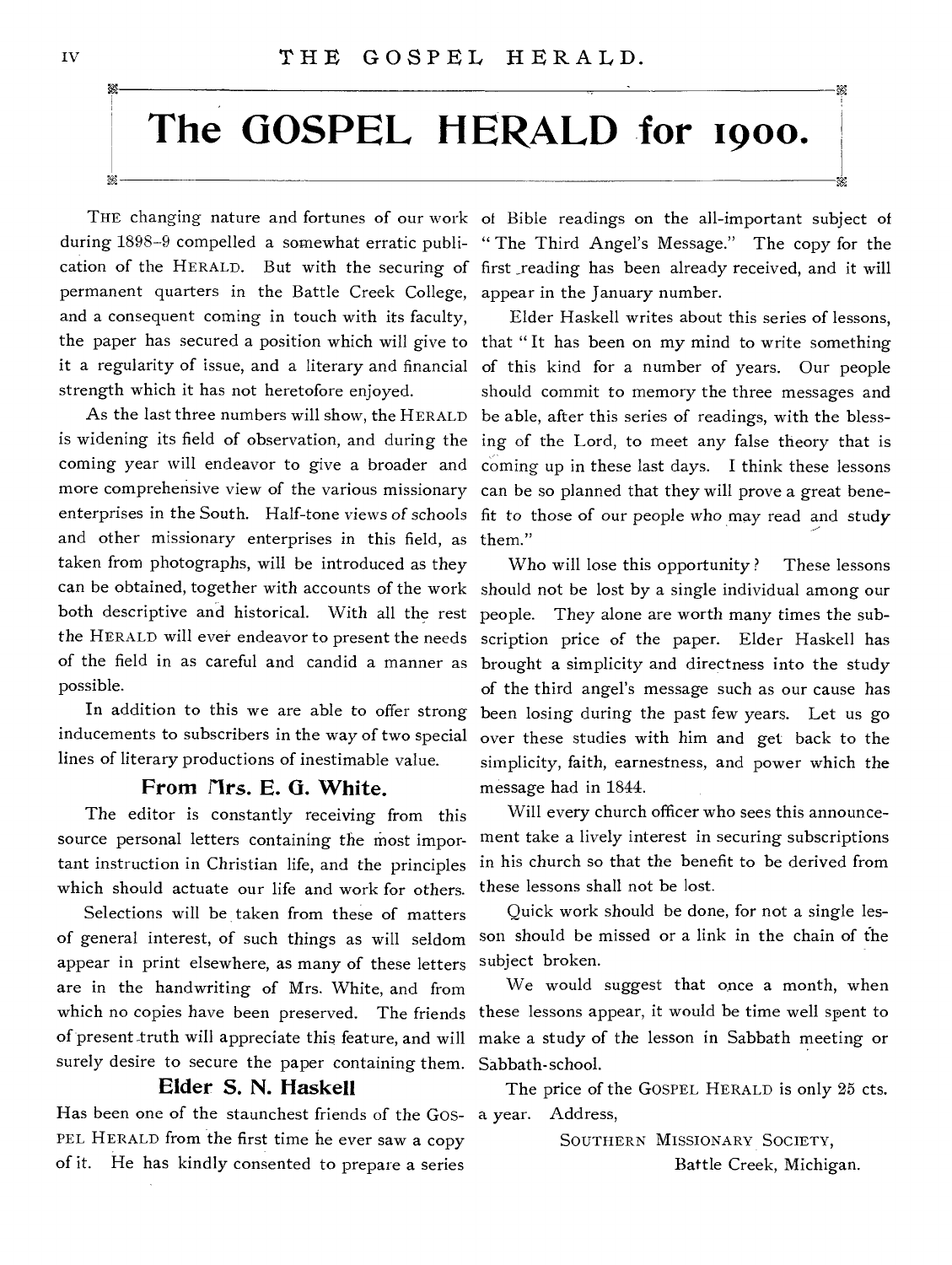# **The GOSPEL HERALD for 19oo.**

THE changing nature and fortunes of our work of Bible readings on the all-important subject of permanent quarters in the Battle Creek College, appear in the January number. and a consequent coming in touch with its faculty, strength which it has not heretofore enjoyed.

more comprehensive view of the various missionary enterprises in the South. Half-tone views of schools and other missionary enterprises in this field, as them." taken from photographs, will be introduced as they both descriptive and historical. With all the rest people. They alone are worth many times the subthe HERALD will ever endeavor to present the needs possible.

In addition to this we are able to offer strong inducements to subscribers in the way of two special lines of literary productions of inestimable value.

#### From firs. E. G. White.

The editor is constantly receiving from this source personal letters containing the most important instruction in Christian life, and the principles which should actuate our life and work for others.

Selections will be taken from these of matters of general interest, of such things as will seldom appear in print elsewhere, as many of these letters are in the handwriting of Mrs. White, and from which no copies have been preserved. The friends of present truth will appreciate this feature, and will surely desire to secure the paper containing them.

### Elder S. N. Haskell

Has been one of the staunchest friends of the GOS-a year. Address, PEL HERALD from the first time he ever saw a copy of it. He has kindly consented to prepare a series

during 1898-9 compelled a somewhat erratic publi- "The Third Angel's Message." The copy for the cation of the HERALD. But with the securing of first reading has been already received, and it will

the paper has secured a position which will give to that "It has been on my mind to write something it a regularity of issue, and a literary and financial of this kind for a number of years. Our people As the last three numbers will show, the HERALD be able, after this series of readings, with the blessis widening its field of observation, and during the ing of the Lord, to meet any false theory that is coming year will endeavor to give a broader and coming up in these last days. I think these lessons Elder Haskell writes about this series of lessons, should commit to memory the three messages and can be so planned that they will prove a great benefit to those *of* our people who may read *and* study

can be obtained, together with accounts of the work should not be lost by a single individual among our of the field in as careful and candid a manner as brought a simplicity and directness into the study Who will lose this opportunity? These lessons scription price of the paper. Elder Haskell has of the third angel's message such as our cause has been losing during the past few years. Let us go over these studies with him and get back to the simplicity, faith, earnestness, and power which the message had in 1841.

> Will every church officer who sees this announcement take a lively interest in securing subscriptions in his church so that the benefit to be derived from these lessons shall not be lost.

> Quick work should be done, for not a single lesson should be missed or a link in the chain of the subject broken.

> We would suggest that once a month, when these lessons appear, it would be time well spent to make a study of the lesson in Sabbath meeting or Sabbath-school.

The price of the GOSPEL HERALD is only 25 cts.

SOUTHERN MISSIONARY SOCIETY, Battle Creek, Michigan.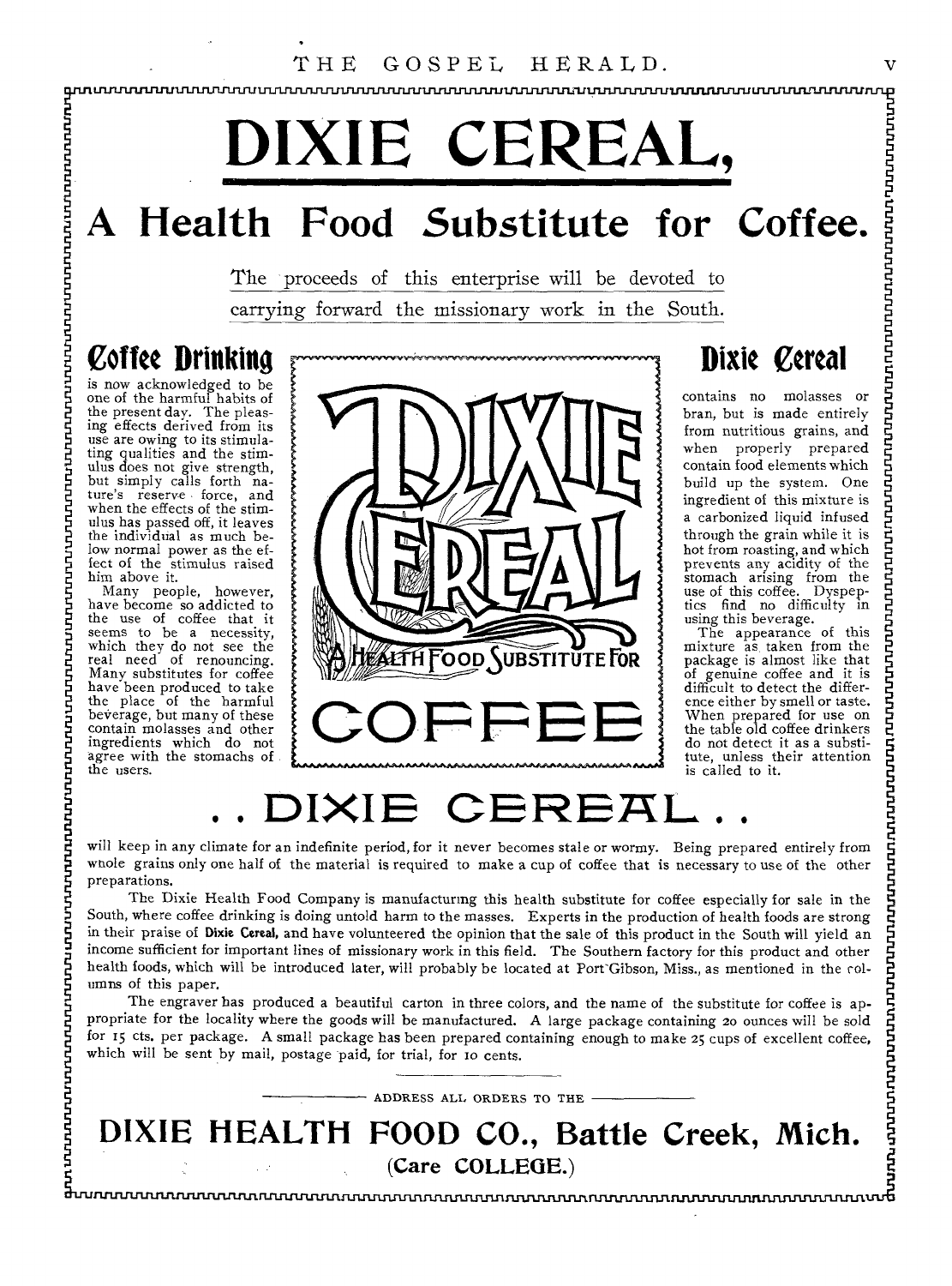**, LI1=11.11117111.11M111.11JWITINLJULIINLIIMIT=JULIWIJITIILIVIASIN11111.1111.11.11/1.11r1JUL1.1111.11CULIIIIMI** 

# THE GOSPEL HERALD.<br>
FRALD. **DIXIE CEREAL,**

## **A Health Food Substitute for Coffee.**

The proceeds of this enterprise will be devoted to carrying forward the missionary work in the South.

**Coffee Drinking** 

is now acknowledged to be<br>one of the harmful habits of<br>the present day. The pleas-<br>ing effects derived from its<br>ing effects derived from its<br>use are owing to its stimula-<br>ting qualities and the stim-<br>but simply calls forth

ulus has passed off, it leaves<br>the individual as much be-<br>low normal power as the ef-<br>iect of the stimulus raised<br>fect of the stimulus raised<br>him above it.<br>Many people, however,<br>have become so addicted to<br>the use of coffee



### **Dixie Cereal**

contains no molasses or bran, but is made entirely from nutritious grains, and when properly prepared contain food elements which build up the system. One ingredient of this mixture is a carbonized liquid infused through the grain while it is hot from roasting, and which<br>prevents any acidity of the<br>stomach arising from the<br>use find no difficulty in<br>using this beverage.<br>The appearance of this<br>mixture as taken from the

package is almost like that<br>of genuine coffee and it is<br>difficult to detect the differ-<br>ence either by smell or taste.<br>When prepared for use on<br>the table old coffee drinkers<br>do not detect it as a substi-<br>tute, unless their is called to it.

## **.. DIXIE CERERL. .**

will keep in any climate for an indefinite period, for it never becomes stale or wormy. Being prepared entirely from whole grains only one half of the material is required to make a cup of coffee that is necessary to use of the other preparations.

The Dixie Health Food Company is manufacturing this health substitute for coffee especially for sale in the South, where coffee drinking is doing untold harm to the masses. Experts in the production of health foods are strong in their praise of Dixie Cereal, and have volunteered the opinion that the sale of this product in the South will yield an income sufficient for important lines of missionary work in this field. The Southern factory for this product and other health foods, which will be introduced later, will probably be located at Port'Gibson, Miss., as mentioned in the columns of this paper.

L<br>PLITTLING<br>Mh<br>C The engraver has produced a beautiful carton in three colors, and the name of the substitute for coffee is appropriate for the locality where the goods will be manufactured. A large package containing zo ounces will be sold for 15 cts. per package. A small package has been prepared containing enough to make 25 cups of excellent coffee, which will be sent by mail, postage paid, for trial, for to cents.

ADDRESS ALL ORDERS TO THE **DIXIE HEALTH FOOD CO., Battle Creek, Mich.**  (Care COLLEGE.)

nd<br>E<br>Shour **IlitrI1111=111.11S=1.111LTIMMISISISININIXISI**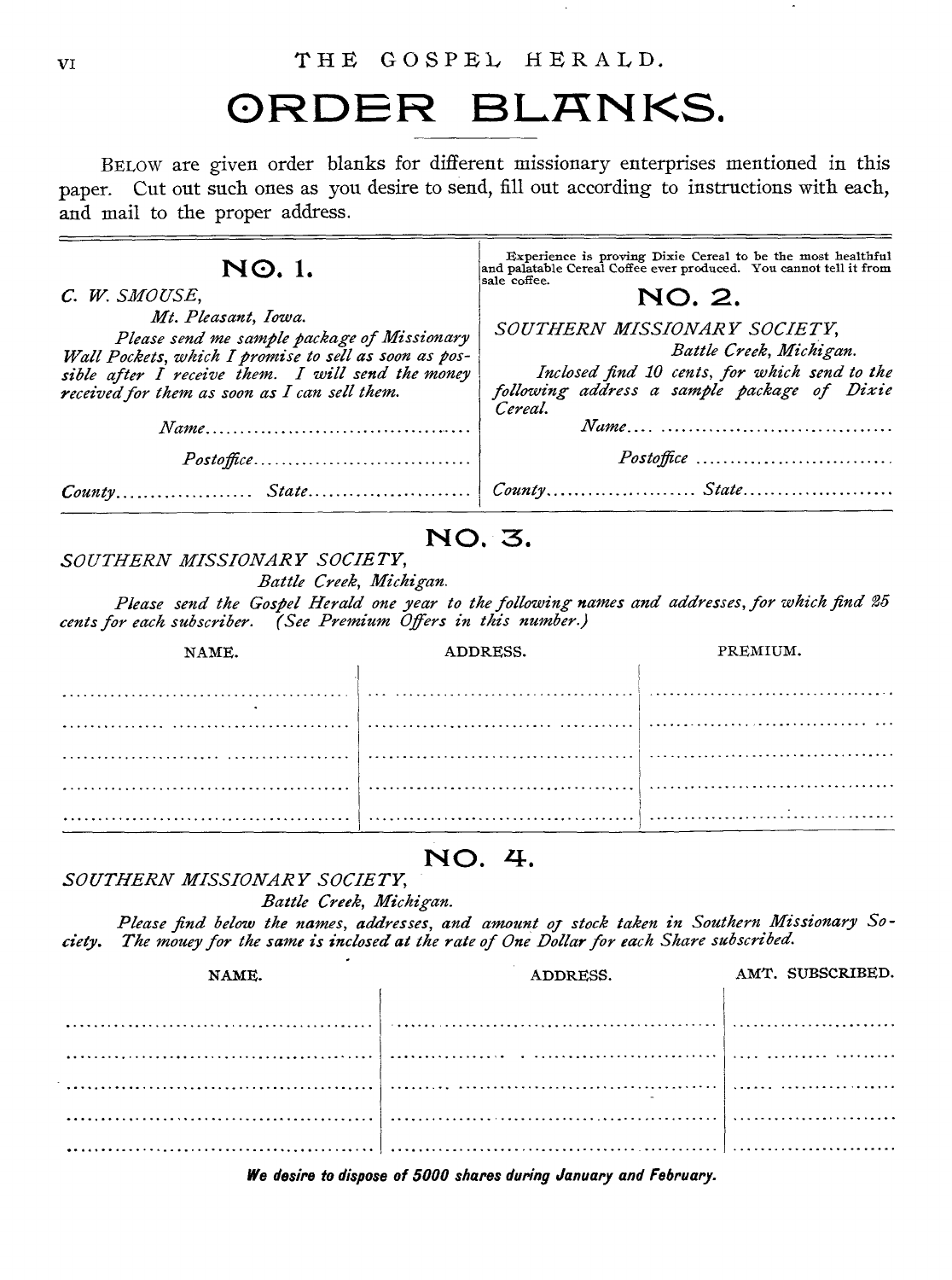### ORDER BLANKS.

BELOW are given order blanks for different missionary enterprises mentioned in this paper. Cut out such ones as you desire to send, fill out according to instructions with each, and mail to the proper address.

| NO.1.<br>C. W. SMOUSE,<br>Mt. Pleasant, Iowa.<br>Please send me sample package of Missionary<br>Wall Pockets, which I promise to sell as soon as pos-<br>sible after I receive them. I will send the money<br>received for them as soon as I can sell them.<br>$Name \dots \dots \dots \dots \dots \dots \dots \dots \dots \dots \dots \dots \dots$<br>Postoffice<br>SOUTHERN MISSIONARY SOCIETY,<br>Battle Creek, Michigan.<br>Please send the Gospel Herald one year to the following names and addresses, for which find 25<br>cents for each subscriber. (See Premium Offers in this number.) | NO. 3. | Experience is proving Dixie Cereal to be the most healthful<br>and palatable Cereal Coffee ever produced. You cannot tell it from<br>sale coffee.<br>NO. 2.<br>SOUTHERN MISSIONARY SOCIETY,<br>Battle Creek, Michigan.<br>Inclosed find 10 cents, for which send to the<br>following address a sample package of Dixie<br>Cereal.<br>Postoffice |          |  |  |  |  |  |
|---------------------------------------------------------------------------------------------------------------------------------------------------------------------------------------------------------------------------------------------------------------------------------------------------------------------------------------------------------------------------------------------------------------------------------------------------------------------------------------------------------------------------------------------------------------------------------------------------|--------|-------------------------------------------------------------------------------------------------------------------------------------------------------------------------------------------------------------------------------------------------------------------------------------------------------------------------------------------------|----------|--|--|--|--|--|
| NAME.                                                                                                                                                                                                                                                                                                                                                                                                                                                                                                                                                                                             |        | ADDRESS.                                                                                                                                                                                                                                                                                                                                        | PREMIUM. |  |  |  |  |  |
|                                                                                                                                                                                                                                                                                                                                                                                                                                                                                                                                                                                                   |        |                                                                                                                                                                                                                                                                                                                                                 |          |  |  |  |  |  |
|                                                                                                                                                                                                                                                                                                                                                                                                                                                                                                                                                                                                   |        |                                                                                                                                                                                                                                                                                                                                                 |          |  |  |  |  |  |
|                                                                                                                                                                                                                                                                                                                                                                                                                                                                                                                                                                                                   |        |                                                                                                                                                                                                                                                                                                                                                 |          |  |  |  |  |  |
|                                                                                                                                                                                                                                                                                                                                                                                                                                                                                                                                                                                                   |        |                                                                                                                                                                                                                                                                                                                                                 |          |  |  |  |  |  |

### **NO. 4.**

*SOUTHERN MISSIONARY SOCIETY,* 

*Battle Creek, Michigan.* 

*Please find below the names, addresses, and amount of stock taken in Southern Missionary Society. The mouey for the same is inclosed at the rate of One Dollar for each Share subscribed.* 

| NAME. | ADDRESS. | AMT. SUBSCRIBED. |
|-------|----------|------------------|
|       |          |                  |
| .     | .        | .                |
|       | .<br>.   | .                |
| .     | .        |                  |
|       |          |                  |
|       |          |                  |
|       |          |                  |

**We desire to dispose of 5000 shares during January and February.**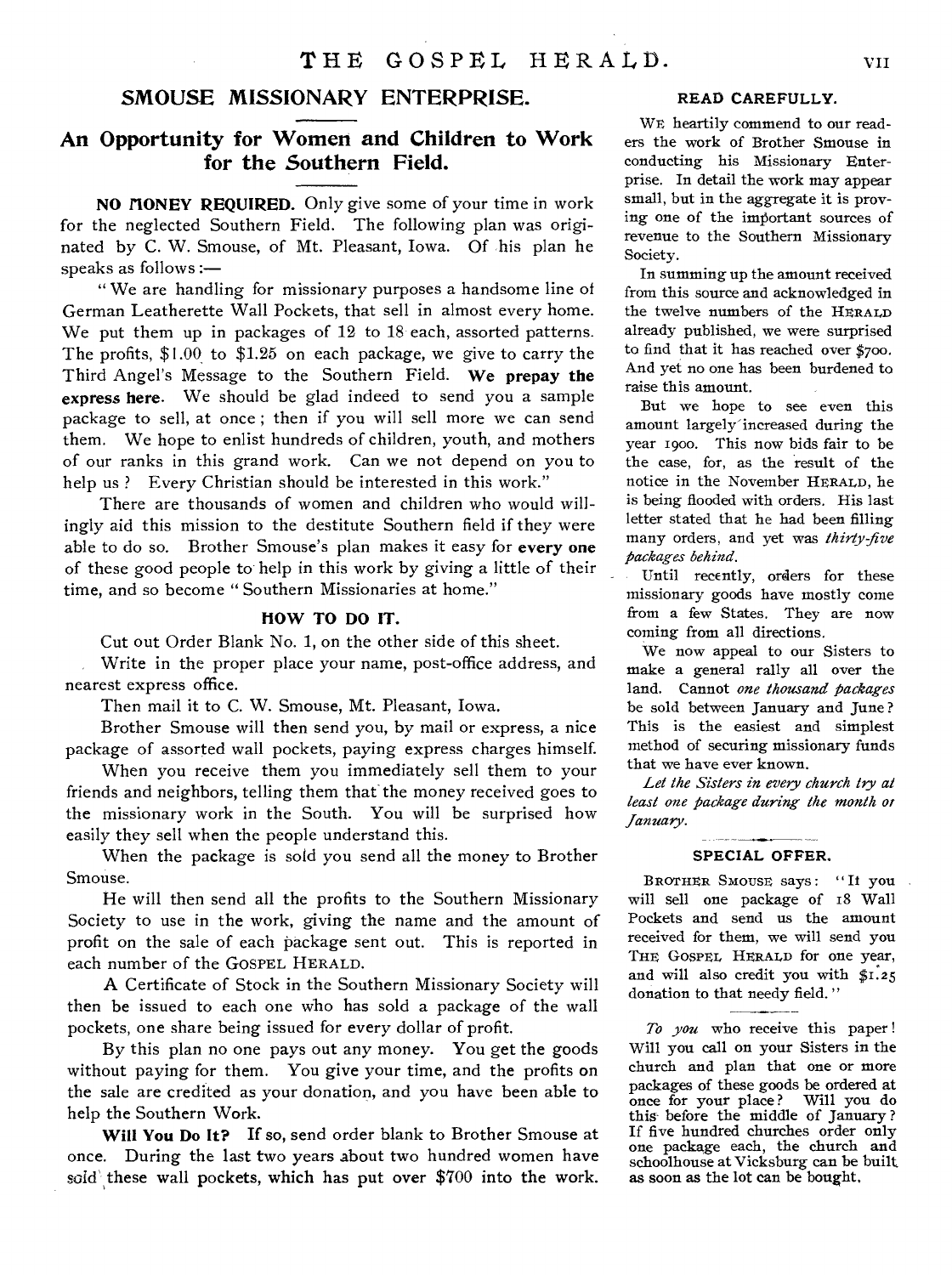#### **SMOUSE MISSIONARY ENTERPRISE.**

### **An Opportunity for Women and Children to Work for the Southern Field.**

**NO HONEY REQUIRED.** Only give some of your time in work for the neglected Southern Field. The following plan was originated by C. W. Smouse, of Mt. Pleasant, Iowa. Of his plan he speaks as follows :—

" We are handling for missionary purposes a handsome line of German Leatherette Wall Pockets, that sell in almost every home. We put them up in packages of 12 to 18 each, assorted patterns. The profits, \$1.00 to \$1.25 on each package, we give to carry the Third Angel's Message to the Southern Field. **We prepay the express here.** We should be glad indeed to send you a sample package to sell, at once ; then if you will sell more we can send them. We hope to enlist hundreds of children, youth, and mothers of our ranks in this grand work. Can we not depend on you to help us ? Every Christian should be interested in this work."

There are thousands of women and children who would willingly aid this mission to the destitute Southern field if they were able to do so. Brother Smouse's plan makes it easy for **every one**  of these good people to help in this work by giving a little of their time, and so become " Southern Missionaries at home."

#### **HOW TO DO IT.**

Cut out Order Blank No. 1, on the other side of this sheet.

Write in the proper place your name, post-office address, and nearest express office.

Then mail it to C. W. Smouse, Mt. Pleasant, Iowa.

Brother Smouse will then send you, by mail or express, a nice package of assorted wall pockets, paying express charges himself.

When you receive them you immediately sell them to your friends and neighbors, telling them that the money received goes to the missionary work in the South. You will be surprised how easily they sell when the people understand this.

When the package is sold you send all the money to Brother Smouse.

He will then send all the profits to the Southern Missionary Society to use in the work, giving the name and the amount of profit on the sale of each package sent out. This is reported in each number of the GOSPEL HERALD.

**A** Certificate of Stock in the Southern Missionary Society will then be issued to each one who has sold a package of the wall pockets, one share being issued for every dollar of profit.

By this plan no one pays out any money. You get the goods without paying for them. You give your time, and the profits on the sale are credited as your donation, and you have been able to help the Southern Work.

**Will You Do It? If** so, send order blank to Brother Smouse at once. During the last two years about two hundred women have sold these wall pockets, which has put over  $$700$  into the work.

#### READ CAREFULLY.

WE heartily commend to our readers the work of Brother Smouse in conducting his Missionary Enterprise. In detail the work may appear small, but in the aggregate it is proving one of the important sources of revenue to the Southern Missionary Society.

In summing up the amount received from this source and acknowledged in the twelve numbers of the HERALD already published, we were surprised to find that it has reached over \$7oo. And yet no one has been burdened to raise this amount.

But we hope to see even this amount largely' increased during the year 190o. This now bids fair to be the case, for, as the result of the notice in the November HERALD, he is being flooded with orders. His last letter stated that he had been filling many orders, and yet was *thirty-five packages behind.* 

Until recently, orders for these missionary goods have mostly come from a few States. They are now coming from all directions.

We now appeal to our Sisters to make a general rally all over the land. Cannot *one thousand packages*  be sold between January and June ? This is the easiest and simplest method of securing missionary funds that we have ever known.

*Let the Sisters in every church try at least one package during the month or January.* 

#### SPECIAL OFFER.

BROTHER SMOUSE says : " It you will sell one package of 18 Wall Pockets and send us the amount received for them, we will send you THE GOSPEL HERALD for one year, and will also credit you with \$1.25 donation to that needy field."

*To you* who receive this paper Will you call on your Sisters in the church and plan that one or more packages of these goods be ordered at<br>once for your place? Will you do once for your place? this before the middle of January ? If five hundred churches order only one package each, the church and schoolhouse at Vicksburg can be built as soon as the lot can be bought.